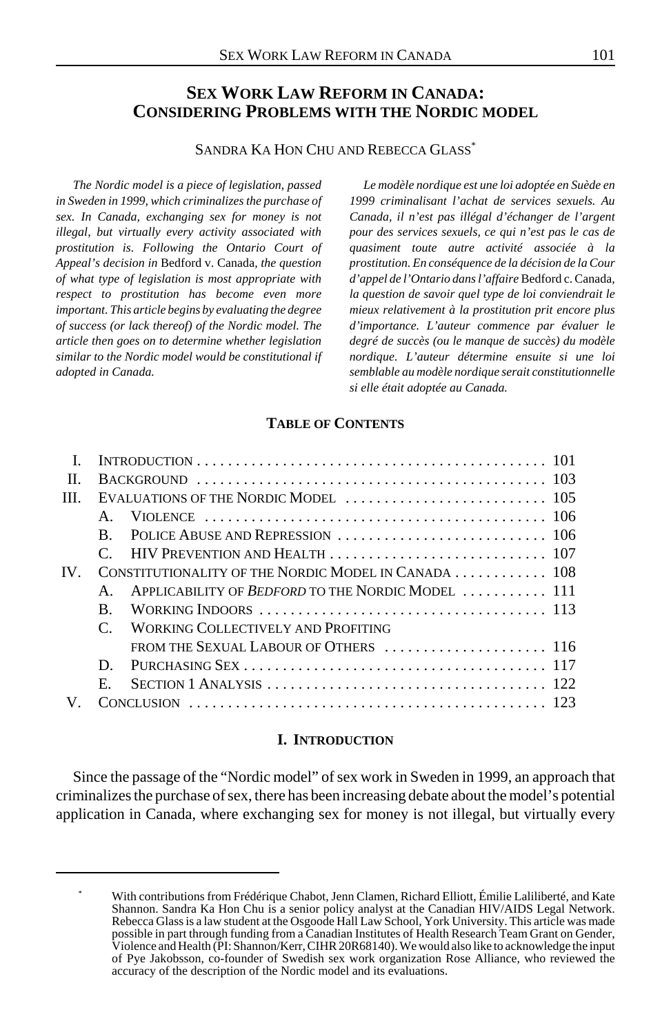# **SEX WORK LAW REFORM IN CANADA: CONSIDERING PROBLEMS WITH THE NORDIC MODEL**

# SANDRA KA HON CHU AND REBECCA GLASS\*

*The Nordic model is a piece of legislation, passed in Sweden in 1999, which criminalizes the purchase of sex. In Canada, exchanging sex for money is not illegal, but virtually every activity associated with prostitution is. Following the Ontario Court of Appeal's decision in* Bedford v. Canada*, the question of what type of legislation is most appropriate with respect to prostitution has become even more important. This article begins by evaluating the degree of success (or lack thereof) of the Nordic model. The article then goes on to determine whether legislation similar to the Nordic model would be constitutional if adopted in Canada.*

*Le modèle nordique est une loi adoptée en Suède en 1999 criminalisant l'achat de services sexuels. Au Canada, il n'est pas illégal d'échanger de l'argent pour des services sexuels, ce qui n'est pas le cas de quasiment toute autre activité associée à la prostitution. En conséquence de la décision de la Cour d'appel de l'Ontario dans l'affaire* Bedford c. Canada*, la question de savoir quel type de loi conviendrait le mieux relativement à la prostitution prit encore plus d'importance. L'auteur commence par évaluer le degré de succès (ou le manque de succès) du modèle nordique. L'auteur détermine ensuite si une loi semblable au modèle nordique serait constitutionnelle si elle était adoptée au Canada.*

### **TABLE OF CONTENTS**

| H             |              |                                                                                                                                    |  |
|---------------|--------------|------------------------------------------------------------------------------------------------------------------------------------|--|
| III           |              |                                                                                                                                    |  |
|               |              |                                                                                                                                    |  |
|               | B.           |                                                                                                                                    |  |
|               |              |                                                                                                                                    |  |
| $\mathbf{IV}$ |              | CONSTITUTIONALITY OF THE NORDIC MODEL IN CANADA  108                                                                               |  |
|               | $\mathbf{A}$ | APPLICABILITY OF <i>BEDFORD</i> TO THE NORDIC MODEL  111                                                                           |  |
|               | B.           |                                                                                                                                    |  |
|               |              | WORKING COLLECTIVELY AND PROFITING                                                                                                 |  |
|               |              |                                                                                                                                    |  |
|               | D.           |                                                                                                                                    |  |
|               | $E_{\rm{L}}$ | SECTION 1 ANALYSIS $\ldots$ $\ldots$ $\ldots$ $\ldots$ $\ldots$ $\ldots$ $\ldots$ $\ldots$ $\ldots$ $\ldots$ $\ldots$ $\ldots$ 122 |  |
| V             |              |                                                                                                                                    |  |
|               |              |                                                                                                                                    |  |

#### **I. INTRODUCTION**

Since the passage of the "Nordic model" of sex work in Sweden in 1999, an approach that criminalizes the purchase of sex, there has been increasing debate about the model's potential application in Canada, where exchanging sex for money is not illegal, but virtually every

With contributions from Frédérique Chabot, Jenn Clamen, Richard Elliott, Émilie Laliliberté, and Kate Shannon. Sandra Ka Hon Chu is a senior policy analyst at the Canadian HIV/AIDS Legal Network. Rebecca Glass is a law student at the Osgoode Hall Law School, York University. This article was made possible in part through funding from a Canadian Institutes of Health Research Team Grant on Gender, Violence and Health (PI: Shannon/Kerr, CIHR 20R68140). We would also like to acknowledge the input of Pye Jakobsson, co-founder of Swedish sex work organization Rose Alliance, who reviewed the accuracy of the description of the Nordic model and its evaluations.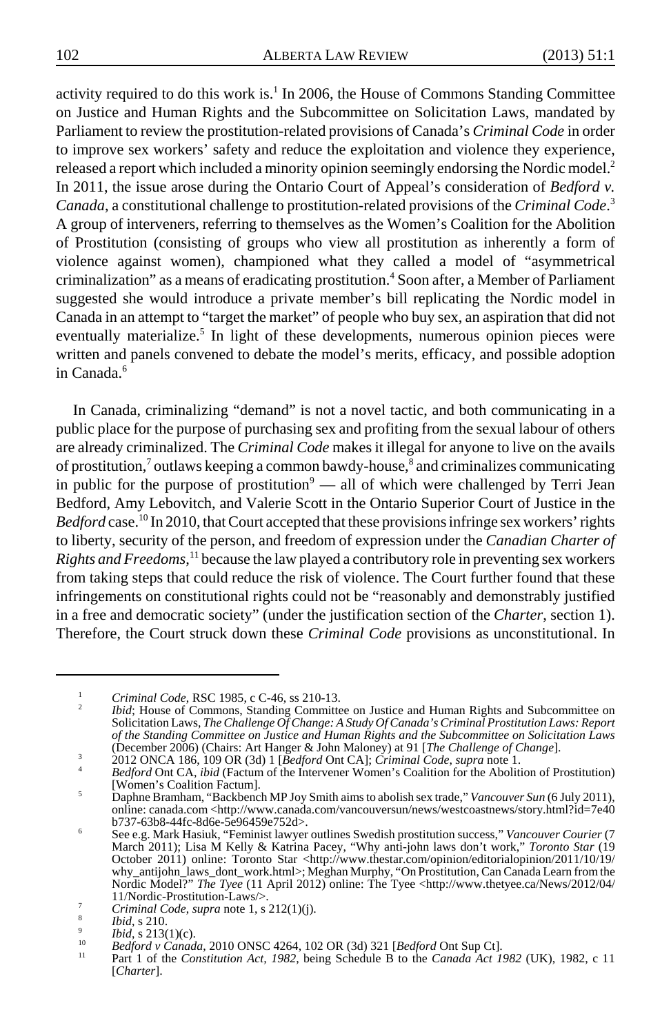activity required to do this work is.<sup>1</sup> In 2006, the House of Commons Standing Committee on Justice and Human Rights and the Subcommittee on Solicitation Laws, mandated by Parliament to review the prostitution-related provisions of Canada's *Criminal Code* in order to improve sex workers' safety and reduce the exploitation and violence they experience, released a report which included a minority opinion seemingly endorsing the Nordic model.<sup>2</sup> In 2011, the issue arose during the Ontario Court of Appeal's consideration of *Bedford v. Canada*, a constitutional challenge to prostitution-related provisions of the *Criminal Code*. 3 A group of interveners, referring to themselves as the Women's Coalition for the Abolition of Prostitution (consisting of groups who view all prostitution as inherently a form of violence against women), championed what they called a model of "asymmetrical criminalization" as a means of eradicating prostitution.<sup>4</sup> Soon after, a Member of Parliament suggested she would introduce a private member's bill replicating the Nordic model in Canada in an attempt to "target the market" of people who buy sex, an aspiration that did not eventually materialize.<sup>5</sup> In light of these developments, numerous opinion pieces were written and panels convened to debate the model's merits, efficacy, and possible adoption in Canada.<sup>6</sup>

In Canada, criminalizing "demand" is not a novel tactic, and both communicating in a public place for the purpose of purchasing sex and profiting from the sexual labour of others are already criminalized. The *Criminal Code* makes it illegal for anyone to live on the avails of prostitution,<sup>7</sup> outlaws keeping a common bawdy-house,<sup>8</sup> and criminalizes communicating in public for the purpose of prostitution<sup>9</sup> — all of which were challenged by Terri Jean Bedford, Amy Lebovitch, and Valerie Scott in the Ontario Superior Court of Justice in the Bedford case.<sup>10</sup> In 2010, that Court accepted that these provisions infringe sex workers' rights to liberty, security of the person, and freedom of expression under the *Canadian Charter of Rights and Freedoms*, 11 because the law played a contributory role in preventing sex workers from taking steps that could reduce the risk of violence. The Court further found that these infringements on constitutional rights could not be "reasonably and demonstrably justified in a free and democratic society" (under the justification section of the *Charter*, section 1). Therefore, the Court struck down these *Criminal Code* provisions as unconstitutional. In

<sup>&</sup>lt;sup>1</sup> *Criminal Code*, RSC 1985, c C-46, ss 210-13.<br> *Position Laws*, *The Challenge Of Change: A Study Of Canada's Criminal Prostitution Laws: Report* Solicitation Laws, *The Challenge Of Change: A Study Of Canada's Crimin of the Standing Committee on Justice and Human Rights and the Subcommittee on Solicitation Laws*

<sup>&</sup>lt;sup>3</sup> 2012 ONCA 186, 109 OR (3d) 1 [*Bedford* Ont CA]; *Criminal Code, supra* note 1.<br><sup>4</sup> *Bedford* Ont CA, *ibid* (Factum of the Intervener Women's Coalition for the Abolition of Prostitution) [Women's Coalition Factum].

<sup>&</sup>lt;sup>5</sup> Daphne Bramham, "Backbench MP Joy Smith aims to abolish sex trade," *Vancouver Sun* (6 July 2011), online: canada.com <http://www.canada.com/vancouversun/news/westcoastnews/story.html?id=7e40

b737-63b8-44fc-8d6e-5e96459e752d>.<br>See e.g. Mark Hasiuk, "Feminist lawyer outlines Swedish prostitution success," Vancouver Courier (7<br>March 2011); Lisa M Kelly & Katrina Pacey, "Why anti-john laws don't work," Toronto Sta why\_antijohn\_laws\_dont\_work.html>; Meghan Murphy, "On Prostitution, Can Canada Learn from the Nordic Model?" *The Tyee* (11 April 2012) online: The Tyee <http://www.thetyee.ca/News/2012/04/<br>11/Nordic-Prostitution-Laws/>.

<sup>&</sup>lt;sup>7</sup><br> *Criminal Code, supra* note 1, s 212(1)(j).<br>
<sup>3</sup><br> *Bid,* s 213(1)(c).<br> *Bedford* Ont Sup Ct].<br> *Bedford* Ont Sup Ct].<br> *Bedford* of Canada, 2010 ONSC 4264, 102 OR (3d) 321 [*Bedford* Ont Sup Ct].<br>
Part 1 of the Const [*Charter*].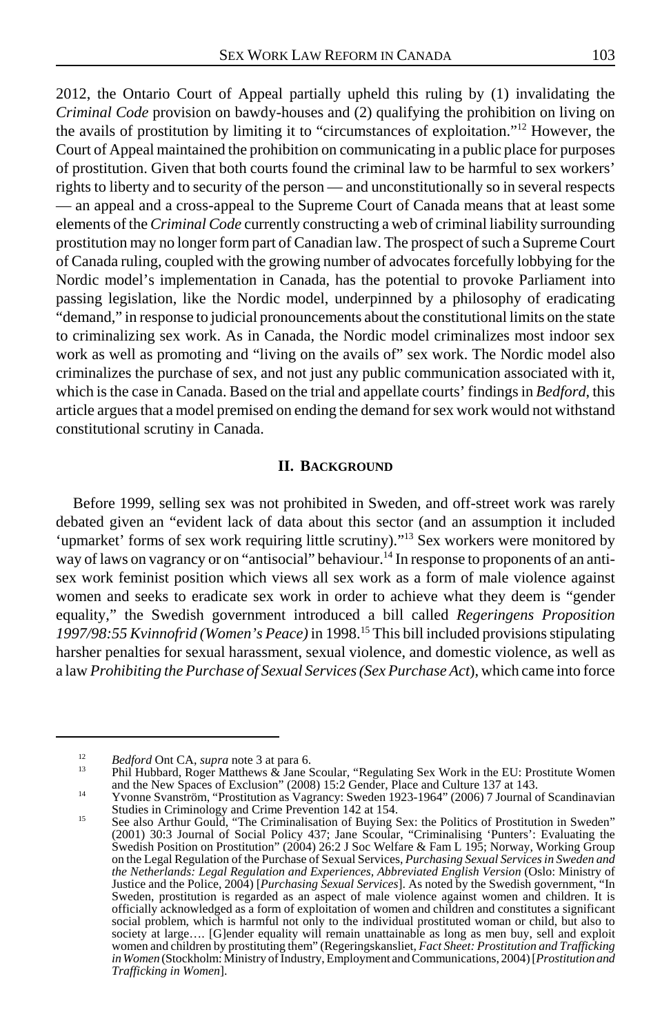2012, the Ontario Court of Appeal partially upheld this ruling by (1) invalidating the *Criminal Code* provision on bawdy-houses and (2) qualifying the prohibition on living on the avails of prostitution by limiting it to "circumstances of exploitation."12 However, the Court of Appeal maintained the prohibition on communicating in a public place for purposes of prostitution. Given that both courts found the criminal law to be harmful to sex workers' rights to liberty and to security of the person — and unconstitutionally so in several respects — an appeal and a cross-appeal to the Supreme Court of Canada means that at least some elements of the *Criminal Code* currently constructing a web of criminal liability surrounding prostitution may no longer form part of Canadian law. The prospect of such a Supreme Court of Canada ruling, coupled with the growing number of advocates forcefully lobbying for the Nordic model's implementation in Canada, has the potential to provoke Parliament into passing legislation, like the Nordic model, underpinned by a philosophy of eradicating "demand," in response to judicial pronouncements about the constitutional limits on the state to criminalizing sex work. As in Canada, the Nordic model criminalizes most indoor sex work as well as promoting and "living on the avails of" sex work. The Nordic model also criminalizes the purchase of sex, and not just any public communication associated with it, which is the case in Canada. Based on the trial and appellate courts' findings in *Bedford*, this article argues that a model premised on ending the demand for sex work would not withstand constitutional scrutiny in Canada.

#### **II. BACKGROUND**

Before 1999, selling sex was not prohibited in Sweden, and off-street work was rarely debated given an "evident lack of data about this sector (and an assumption it included 'upmarket' forms of sex work requiring little scrutiny)."<sup>13</sup> Sex workers were monitored by way of laws on vagrancy or on "antisocial" behaviour.<sup>14</sup> In response to proponents of an antisex work feminist position which views all sex work as a form of male violence against women and seeks to eradicate sex work in order to achieve what they deem is "gender equality," the Swedish government introduced a bill called *Regeringens Proposition 1997/98:55 Kvinnofrid (Women's Peace)* in 1998.15 This bill included provisions stipulating harsher penalties for sexual harassment, sexual violence, and domestic violence, as well as a law *Prohibiting the Purchase of Sexual Services (Sex Purchase Act*), which came into force

<sup>&</sup>lt;sup>12</sup> *Bedford* Ont CA, *supra* note 3 at para 6.<br>
<sup>13</sup> Phil Hubbard, Roger Matthews & Jane Scoular, "Regulating Sex Work in the EU: Prostitute Women<br>
and the New Spaces of Exclusion" (2008) 15:2 Gender, Place and Culture 1

<sup>&</sup>lt;sup>14</sup> Yvonne Svanström, "Prostitution as Vagrancy: Sweden 1923-1964" (2006) 7 Journal of Scandinavian<br>Studies in Criminology and Crime Prevention 142 at 154.

Studies in Criminology and Crime Prevention 142 at 154. <sup>15</sup> See also Arthur Gould, "The Criminalisation of Buying Sex: the Politics of Prostitution in Sweden" (2001) 30:3 Journal of Social Policy 437; Jane Scoular, "Criminalising 'Punters': Evaluating the Swedish Position on Prostitution" (2004) 26:2 J Soc Welfare & Fam L 195; Norway, Working Group on the Legal Regulation of the Purchase of Sexual Services, *Purchasing Sexual Services in Sweden and the Netherlands: Legal Regulation and Experiences, Abbreviated English Version* (Oslo: Ministry of Justice and the Police, 2004) [*Purchasing Sexual Services*]. As noted by the Swedish government, "In Sweden, prostitution is regarded as an aspect of male violence against women and children. It is officially acknowledged as a form of exploitation of women and children and constitutes a significant social problem, which is harmful not only to the individual prostituted woman or child, but also to society at large.... [G]ender equality will remain unattainable as long as men buy, sell and exploit women and children by prostituting them" (Regeringskansliet, *Fact Sheet: Prostitution and Trafficking in Women* (Stockholm: Ministry of Industry, Employment and Communications, 2004) [*Prostitution and Trafficking in Women*].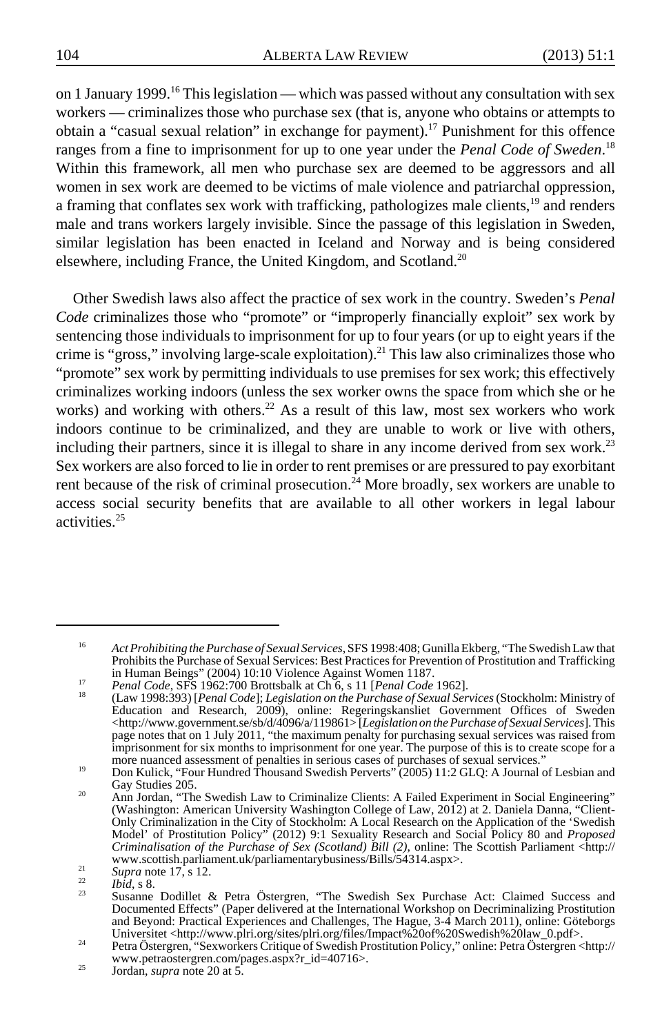on 1 January 1999.<sup>16</sup> This legislation — which was passed without any consultation with sex workers — criminalizes those who purchase sex (that is, anyone who obtains or attempts to obtain a "casual sexual relation" in exchange for payment).<sup>17</sup> Punishment for this offence ranges from a fine to imprisonment for up to one year under the *Penal Code of Sweden*. 18 Within this framework, all men who purchase sex are deemed to be aggressors and all women in sex work are deemed to be victims of male violence and patriarchal oppression, a framing that conflates sex work with trafficking, pathologizes male clients,<sup>19</sup> and renders male and trans workers largely invisible. Since the passage of this legislation in Sweden, similar legislation has been enacted in Iceland and Norway and is being considered elsewhere, including France, the United Kingdom, and Scotland.<sup>20</sup>

Other Swedish laws also affect the practice of sex work in the country. Sweden's *Penal Code* criminalizes those who "promote" or "improperly financially exploit" sex work by sentencing those individuals to imprisonment for up to four years (or up to eight years if the crime is "gross," involving large-scale exploitation).<sup>21</sup> This law also criminalizes those who "promote" sex work by permitting individuals to use premises for sex work; this effectively criminalizes working indoors (unless the sex worker owns the space from which she or he works) and working with others.<sup>22</sup> As a result of this law, most sex workers who work indoors continue to be criminalized, and they are unable to work or live with others, including their partners, since it is illegal to share in any income derived from sex work.<sup>23</sup> Sex workers are also forced to lie in order to rent premises or are pressured to pay exorbitant rent because of the risk of criminal prosecution.<sup>24</sup> More broadly, sex workers are unable to access social security benefits that are available to all other workers in legal labour activities.25

<sup>16</sup> *Act Prohibiting the Purchase of Sexual Services*, SFS 1998:408; Gunilla Ekberg, "The Swedish Law that Prohibits the Purchase of Sexual Services: Best Practices for Prevention of Prostitution and Trafficking in Human Beings" (2004) 10:10 Violence Against Women 1187.

<sup>17</sup> Penal Code, SFS 1962:700 Brottsbalk at Ch 6, s 11 [Penal Code 1962].<br><sup>18</sup> (Law 1998:393) [Penal Code]; Legislation on the Purchase of Sexual Services (Stockholm: Ministry of Education and Research, 2009), online: Regeringskansliet Government Offices of Sweden <http://www.government.se/sb/d/4096/a/119861> [*Legislation on the Purchase of Sexual Services*]. This page notes that on 1 July 2011, "the maximum penalty for purchasing sexual services was raised from imprisonment for six months to imprisonment for one year. The purpose of this is to create scope for a more nuanced assessment of penalties in serious cases of purchases of sexual services."

more nuanced assessment of penalties in serious cases of persons of the persons cases of the purchases of the Sun and Gay Studies 205.

<sup>&</sup>lt;sup>20</sup> Ann Jordan, "The Swedish Law to Criminalize Clients: A Failed Experiment in Social Engineering" (Washington: American University Washington College of Law, 2012) at 2. Daniela Danna, "Client-Only Criminalization in the City of Stockholm: A Local Research on the Application of the 'Swedish Model' of Prostitution Policy" (2012) 9:1 Sexuality Research and Social Policy 80 and *Proposed Criminalisation of the Purchase of Sex (Scotland) Bill (2)*, online: The Scottish Parliament <http://www.scottish.parliament.uk/parliamentarybusiness/Bills/54314.aspx>.

www.scottish.parliament.uk/parliamentarybusiness/Bills/54314.aspx>.<br>
21 *Supra* note 17, s 12.<br>
22 *Ibid*, s 8.<br>
Susanne Dodillet & Petra Östergren, "The Swedish Sex Purchase Act: Claimed Success and<br>
Documented Effects" ( and Beyond: Practical Experiences and Challenges, The Hague, 3-4 March 2011), online: Göteborgs<br>Universitet <http://www.plri.org/sites/plri.org/files/Impact%20of%20Swedish%20law\_0.pdf>.<br>Petra Östergren, "Sexworkers Critiqu

www.petraostergren.com/pages.aspx?r\_id=40716>. <sup>25</sup> Jordan, *supra* note 20 at 5.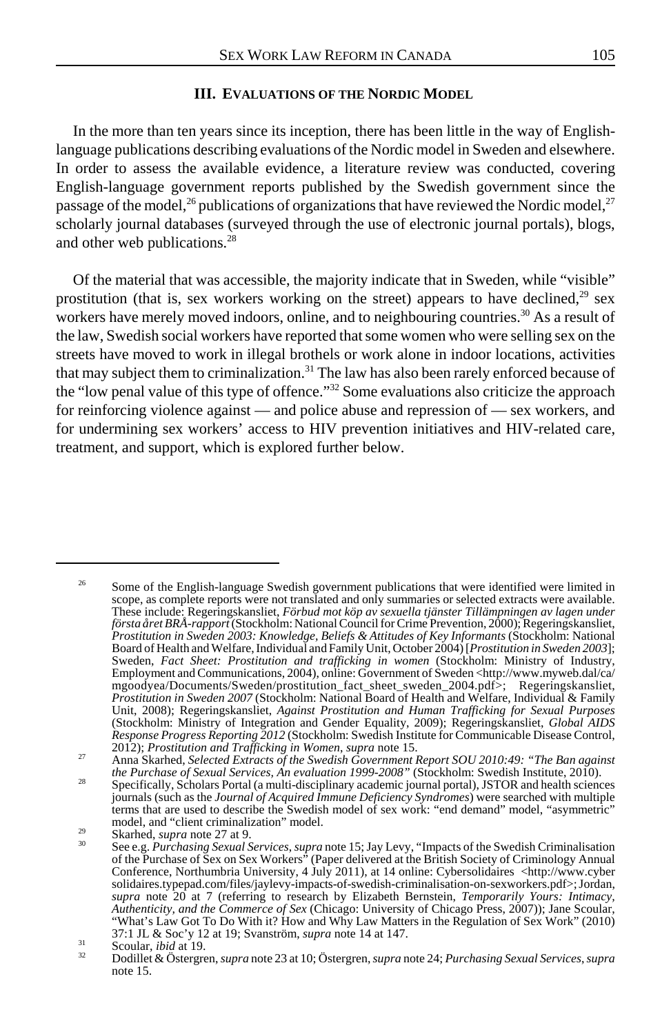#### **III. EVALUATIONS OF THE NORDIC MODEL**

In the more than ten years since its inception, there has been little in the way of Englishlanguage publications describing evaluations of the Nordic model in Sweden and elsewhere. In order to assess the available evidence, a literature review was conducted, covering English-language government reports published by the Swedish government since the passage of the model,<sup>26</sup> publications of organizations that have reviewed the Nordic model,<sup>27</sup> scholarly journal databases (surveyed through the use of electronic journal portals), blogs, and other web publications.<sup>28</sup>

Of the material that was accessible, the majority indicate that in Sweden, while "visible" prostitution (that is, sex workers working on the street) appears to have declined, $2^9$  sex workers have merely moved indoors, online, and to neighbouring countries.<sup>30</sup> As a result of the law, Swedish social workers have reported that some women who were selling sex on the streets have moved to work in illegal brothels or work alone in indoor locations, activities that may subject them to criminalization.<sup>31</sup> The law has also been rarely enforced because of the "low penal value of this type of offence."32 Some evaluations also criticize the approach for reinforcing violence against — and police abuse and repression of — sex workers, and for undermining sex workers' access to HIV prevention initiatives and HIV-related care, treatment, and support, which is explored further below.

<sup>&</sup>lt;sup>26</sup> Some of the English-language Swedish government publications that were identified were limited in scope, as complete reports were not translated and only summaries or selected extracts were available. These include: Regeringskansliet, *Förbud mot köp av sexuella tjänster Tillämpningen av lagen under första året BRÅ-rapport* (Stockholm: National Council for Crime Prevention, 2000); Regeringskansliet, *Prostitution in Sweden 2003: Knowledge, Beliefs & Attitudes of Key Informants* (Stockholm: National Board of Health and Welfare, Individual and Family Unit, October 2004) [*Prostitution in Sweden 2003*]; Sweden, *Fact Sheet: Prostitution and trafficking in women* (Stockholm: Ministry of Industry, Employment and Communications, 2004), online: Government of Sweden <http://www.myweb.dal/ca/ mgoodyea/Documents/Sweden/prostitution\_fact\_sheet\_sweden\_2004.pdf>; Regeringskansliet, *Prostitution in Sweden 2007* (Stockholm: National Board of Health and Welfare, Individual & Family Unit, 2008); Regeringskansliet, *Against Prostitution and Human Trafficking for Sexual Purposes* (Stockholm: Ministry of Integration and Gender Equality, 2009); Regeringskansliet, *Global AIDS Response Progress Reporting 2012* (Stockholm: Swedish Institute for Communicable Disease Control,

<sup>2012);</sup> *Prostitution and Trafficking in Women*, *supra* note 15. <sup>27</sup> Anna Skarhed, *Selected Extracts of the Swedish Government Report SOU 2010:49: "The Ban against*

*the Purchase of Sexual Services, An evaluation 1999-2008"* (Stockholm: Swedish Institute, 2010).<br><sup>28</sup> Specifically, Scholars Portal (a multi-disciplinary academic journal portal), JSTOR and health sciences journals (such as the *Journal of Acquired Immune Deficiency Syndromes*) were searched with multiple terms that are used to describe the Swedish model of sex work: "end demand" model, "asymmetric"

model, and "client criminalization" model.<br>
Skarhed, *supra* note 27 at 9.<br>
See e.g. *Purchasing Sexual Services, supra* note 15; Jay Levy, "Impacts of the Swedish Criminalisation<br>
of the Purchase of Sex on Sex Workers" (P Conference, Northumbria University, 4 July 2011), at 14 online: Cybersolidaires <http://www.cyber solidaires.typepad.com/files/jaylevy-impacts-of-swedish-criminalisation-on-sexworkers.pdf>; Jordan, *supra* note 20 at 7 (referring to research by Elizabeth Bernstein, *Temporarily Yours: Intimacy, Authenticity, and the Commerce of Sex* (Chicago: University of Chicago Press, 2007)); Jane Scoular, "What's Law Got To Do With it? How and Why Law Matters in the Regulation of Sex Work" (2010)<br>37:1 JL & Soc'y 12 at 19: Svanström, *supra* note 14 at 147.

Scoular, *ibid* at 19.<br>
Scoular, *ibid* at 19.<br>
Dodillet & Östergren, *supra* note 23 at 10; Östergren, *supra* note 24; *Purchasing Sexual Services*, *supra* note 15.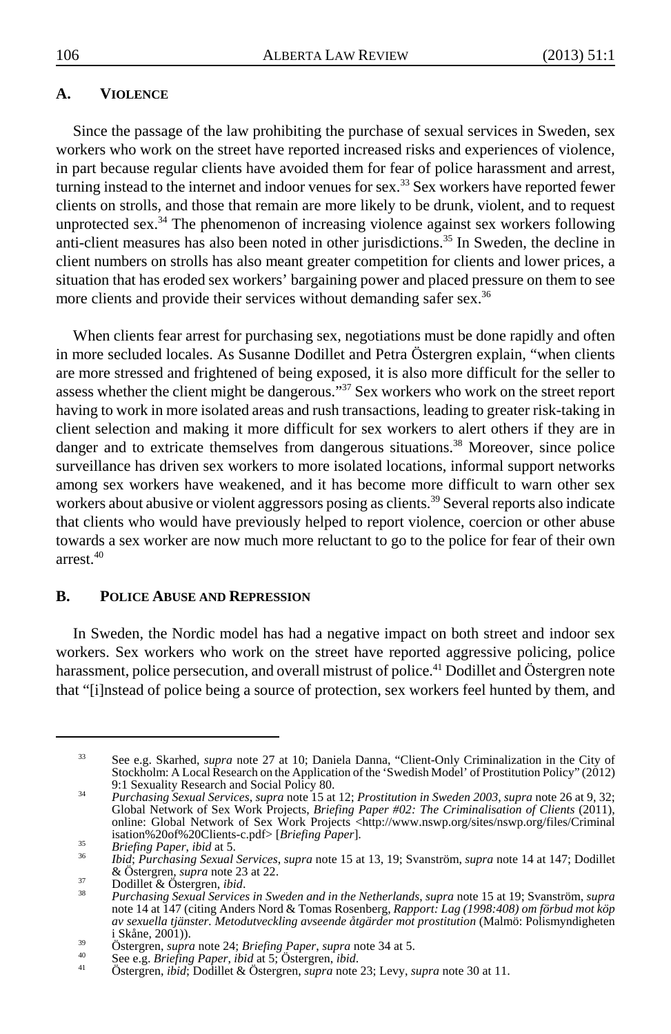## **A. VIOLENCE**

Since the passage of the law prohibiting the purchase of sexual services in Sweden, sex workers who work on the street have reported increased risks and experiences of violence, in part because regular clients have avoided them for fear of police harassment and arrest, turning instead to the internet and indoor venues for sex.<sup>33</sup> Sex workers have reported fewer clients on strolls, and those that remain are more likely to be drunk, violent, and to request unprotected sex.<sup>34</sup> The phenomenon of increasing violence against sex workers following anti-client measures has also been noted in other jurisdictions.<sup>35</sup> In Sweden, the decline in client numbers on strolls has also meant greater competition for clients and lower prices, a situation that has eroded sex workers' bargaining power and placed pressure on them to see more clients and provide their services without demanding safer sex.<sup>36</sup>

When clients fear arrest for purchasing sex, negotiations must be done rapidly and often in more secluded locales. As Susanne Dodillet and Petra Östergren explain, "when clients are more stressed and frightened of being exposed, it is also more difficult for the seller to assess whether the client might be dangerous."<sup>37</sup> Sex workers who work on the street report having to work in more isolated areas and rush transactions, leading to greater risk-taking in client selection and making it more difficult for sex workers to alert others if they are in danger and to extricate themselves from dangerous situations.<sup>38</sup> Moreover, since police surveillance has driven sex workers to more isolated locations, informal support networks among sex workers have weakened, and it has become more difficult to warn other sex workers about abusive or violent aggressors posing as clients.<sup>39</sup> Several reports also indicate that clients who would have previously helped to report violence, coercion or other abuse towards a sex worker are now much more reluctant to go to the police for fear of their own arrest $40$ 

## **B. POLICE ABUSE AND REPRESSION**

In Sweden, the Nordic model has had a negative impact on both street and indoor sex workers. Sex workers who work on the street have reported aggressive policing, police harassment, police persecution, and overall mistrust of police.<sup>41</sup> Dodillet and Östergren note that "[i]nstead of police being a source of protection, sex workers feel hunted by them, and

<sup>33</sup> See e.g. Skarhed, *supra* note 27 at 10; Daniela Danna, "Client-Only Criminalization in the City of Stockholm: A Local Research on the Application of the 'Swedish Model' of Prostitution Policy" (2012)<br>9:1 Sexuality Research and Social Policy 80.

<sup>9:1</sup> Sexuality Research and Social Policy 80. <sup>34</sup> *Purchasing Sexual Services*, *supra* note 15 at 12; *Prostitution in Sweden 2003*, *supra* note 26 at 9, 32; Global Network of Sex Work Projects, *Briefing Paper #02: The Criminalisation of Clients* (2011), online: Global Network of Sex Work Projects <http://www.nswp.org/sites/nswp.org/files/Criminal isation%20of%20Clients-c.pdf> [Briefing Paper].

<sup>&</sup>lt;sup>35</sup><br> *Briefing Paper, ibid* at 5.<br> *bid; Purchasing Sexual Services, supra* note 15 at 13, 19; Svanström, *supra* note 14 at 147; Dodillet & Östergren, *supra* note 23 at 22.

<sup>&</sup>amp; Östergren, *supra* note 23 at 22. <sup>37</sup> Dodillet & Östergren, *ibid*. <sup>38</sup> *Purchasing Sexual Services in Sweden and in the Netherlands*, *supra* note 15 at 19; Svanström, *supra* note 14 at 147 (citing Anders Nord & Tomas Rosenberg, *Rapport: Lag (1998:408) om förbud mot köp av sexuella tjänster. Metodutveckling avseende åtgärder mot prostitution (Malmö: Polismyndigheten*<br>i Skåne. 2001)).

<sup>&</sup>lt;sup>39</sup><br>
Ostergren, *supra* note 24; *Briefing Paper*, *supra* note 34 at 5.<br>
<sup>40</sup><br>
See e.g. *Briefing Paper*, *ibid* at 5; Ostergren, *ibid.*<br>
Ostergren, *ibid*; Dodillet & Östergren, *supra* note 23; Levy, *supra* note 30 a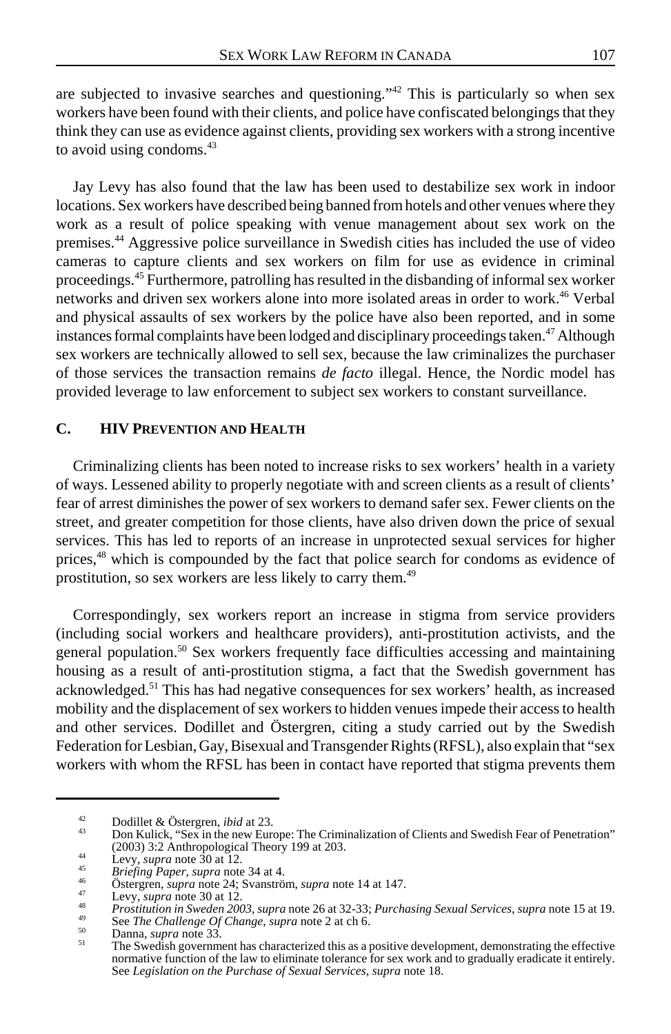are subjected to invasive searches and questioning."<sup>42</sup> This is particularly so when sex workers have been found with their clients, and police have confiscated belongings that they think they can use as evidence against clients, providing sex workers with a strong incentive to avoid using condoms.<sup>43</sup>

Jay Levy has also found that the law has been used to destabilize sex work in indoor locations. Sex workers have described being banned from hotels and other venues where they work as a result of police speaking with venue management about sex work on the premises.44 Aggressive police surveillance in Swedish cities has included the use of video cameras to capture clients and sex workers on film for use as evidence in criminal proceedings.45 Furthermore, patrolling has resulted in the disbanding of informal sex worker networks and driven sex workers alone into more isolated areas in order to work.<sup>46</sup> Verbal and physical assaults of sex workers by the police have also been reported, and in some instances formal complaints have been lodged and disciplinary proceedings taken.<sup>47</sup> Although sex workers are technically allowed to sell sex, because the law criminalizes the purchaser of those services the transaction remains *de facto* illegal. Hence, the Nordic model has provided leverage to law enforcement to subject sex workers to constant surveillance.

## **C. HIV PREVENTION AND HEALTH**

Criminalizing clients has been noted to increase risks to sex workers' health in a variety of ways. Lessened ability to properly negotiate with and screen clients as a result of clients' fear of arrest diminishes the power of sex workers to demand safer sex. Fewer clients on the street, and greater competition for those clients, have also driven down the price of sexual services. This has led to reports of an increase in unprotected sexual services for higher prices,48 which is compounded by the fact that police search for condoms as evidence of prostitution, so sex workers are less likely to carry them.49

Correspondingly, sex workers report an increase in stigma from service providers (including social workers and healthcare providers), anti-prostitution activists, and the general population.<sup>50</sup> Sex workers frequently face difficulties accessing and maintaining housing as a result of anti-prostitution stigma, a fact that the Swedish government has acknowledged.51 This has had negative consequences for sex workers' health, as increased mobility and the displacement of sex workers to hidden venues impede their access to health and other services. Dodillet and Östergren, citing a study carried out by the Swedish Federation for Lesbian, Gay, Bisexual and Transgender Rights (RFSL), also explain that "sex workers with whom the RFSL has been in contact have reported that stigma prevents them

<sup>42</sup> Dodillet & Östergren, *ibid* at 23.<br>43 Don Kulick, "Sex in the new Europe: The Criminalization of Clients and Swedish Fear of Penetration"<br>(2003) 3:2 Anthropological Theory 199 at 203.

Levy, supra note 30 at 12.<br>
Evy, supra note 30 at 12.<br>
Briefing Paper, supra note 34 at 4.<br>
Ostergren, supra note 24; Svanström, supra note 14 at 147.<br>
Levy, supra note 30 at 12.<br>
Prositition in Sweden 2003, supra note 26

normative function of the law to eliminate tolerance for sex work and to gradually eradicate it entirely. See *Legislation on the Purchase of Sexual Services*, *supra* note 18.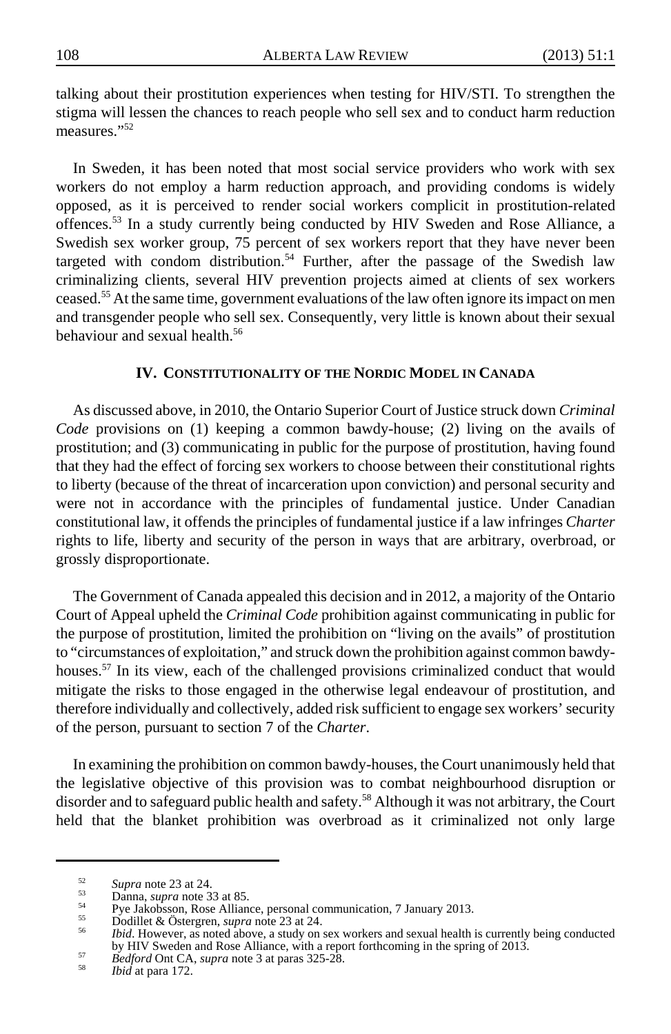talking about their prostitution experiences when testing for HIV/STI. To strengthen the stigma will lessen the chances to reach people who sell sex and to conduct harm reduction measures."52

In Sweden, it has been noted that most social service providers who work with sex workers do not employ a harm reduction approach, and providing condoms is widely opposed, as it is perceived to render social workers complicit in prostitution-related offences.53 In a study currently being conducted by HIV Sweden and Rose Alliance, a Swedish sex worker group, 75 percent of sex workers report that they have never been targeted with condom distribution.<sup>54</sup> Further, after the passage of the Swedish law criminalizing clients, several HIV prevention projects aimed at clients of sex workers ceased.<sup>55</sup> At the same time, government evaluations of the law often ignore its impact on men and transgender people who sell sex. Consequently, very little is known about their sexual behaviour and sexual health.<sup>56</sup>

## **IV. CONSTITUTIONALITY OF THE NORDIC MODEL IN CANADA**

As discussed above, in 2010, the Ontario Superior Court of Justice struck down *Criminal Code* provisions on (1) keeping a common bawdy-house; (2) living on the avails of prostitution; and (3) communicating in public for the purpose of prostitution, having found that they had the effect of forcing sex workers to choose between their constitutional rights to liberty (because of the threat of incarceration upon conviction) and personal security and were not in accordance with the principles of fundamental justice. Under Canadian constitutional law, it offends the principles of fundamental justice if a law infringes *Charter* rights to life, liberty and security of the person in ways that are arbitrary, overbroad, or grossly disproportionate.

The Government of Canada appealed this decision and in 2012, a majority of the Ontario Court of Appeal upheld the *Criminal Code* prohibition against communicating in public for the purpose of prostitution, limited the prohibition on "living on the avails" of prostitution to "circumstances of exploitation," and struck down the prohibition against common bawdyhouses.<sup>57</sup> In its view, each of the challenged provisions criminalized conduct that would mitigate the risks to those engaged in the otherwise legal endeavour of prostitution, and therefore individually and collectively, added risk sufficient to engage sex workers' security of the person, pursuant to section 7 of the *Charter*.

In examining the prohibition on common bawdy-houses, the Court unanimously held that the legislative objective of this provision was to combat neighbourhood disruption or disorder and to safeguard public health and safety.<sup>58</sup> Although it was not arbitrary, the Court held that the blanket prohibition was overbroad as it criminalized not only large

Supra note 23 at 24.<br>
Danna, *supra* note 33 at 85.<br>
Pye Jakobsson, Rose Alliance, personal communication, 7 January 2013.<br>
Subdillet & Östergren, *supra* note 23 at 24.<br> *Ibid.* However, as noted above, a study on sex wo by HIV Sweden and Rose Alliance, with a report forthcoming in the spring of 2013. <sup>57</sup> *Bedford* Ont CA, *supra* note 3 at paras 325-28. <sup>58</sup> *Ibid* at para 172.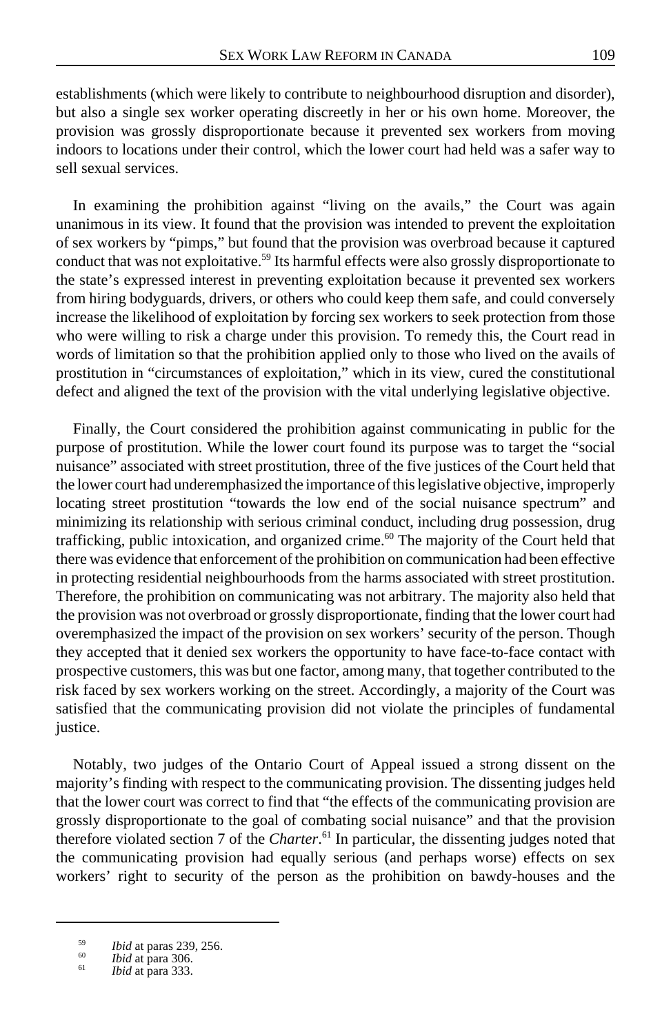establishments (which were likely to contribute to neighbourhood disruption and disorder), but also a single sex worker operating discreetly in her or his own home. Moreover, the provision was grossly disproportionate because it prevented sex workers from moving indoors to locations under their control, which the lower court had held was a safer way to sell sexual services.

In examining the prohibition against "living on the avails," the Court was again unanimous in its view. It found that the provision was intended to prevent the exploitation of sex workers by "pimps," but found that the provision was overbroad because it captured conduct that was not exploitative.<sup>59</sup> Its harmful effects were also grossly disproportionate to the state's expressed interest in preventing exploitation because it prevented sex workers from hiring bodyguards, drivers, or others who could keep them safe, and could conversely increase the likelihood of exploitation by forcing sex workers to seek protection from those who were willing to risk a charge under this provision. To remedy this, the Court read in words of limitation so that the prohibition applied only to those who lived on the avails of prostitution in "circumstances of exploitation," which in its view, cured the constitutional defect and aligned the text of the provision with the vital underlying legislative objective.

Finally, the Court considered the prohibition against communicating in public for the purpose of prostitution. While the lower court found its purpose was to target the "social nuisance" associated with street prostitution, three of the five justices of the Court held that the lower court had underemphasized the importance of this legislative objective, improperly locating street prostitution "towards the low end of the social nuisance spectrum" and minimizing its relationship with serious criminal conduct, including drug possession, drug trafficking, public intoxication, and organized crime.<sup>60</sup> The majority of the Court held that there was evidence that enforcement of the prohibition on communication had been effective in protecting residential neighbourhoods from the harms associated with street prostitution. Therefore, the prohibition on communicating was not arbitrary. The majority also held that the provision was not overbroad or grossly disproportionate, finding that the lower court had overemphasized the impact of the provision on sex workers' security of the person. Though they accepted that it denied sex workers the opportunity to have face-to-face contact with prospective customers, this was but one factor, among many, that together contributed to the risk faced by sex workers working on the street. Accordingly, a majority of the Court was satisfied that the communicating provision did not violate the principles of fundamental justice.

Notably, two judges of the Ontario Court of Appeal issued a strong dissent on the majority's finding with respect to the communicating provision. The dissenting judges held that the lower court was correct to find that "the effects of the communicating provision are grossly disproportionate to the goal of combating social nuisance" and that the provision therefore violated section 7 of the *Charter*. 61 In particular, the dissenting judges noted that the communicating provision had equally serious (and perhaps worse) effects on sex workers' right to security of the person as the prohibition on bawdy-houses and the

<sup>59</sup> *Ibid* at paras 239, 256. <sup>60</sup> *Ibid* at para 306. <sup>61</sup> *Ibid* at para 333.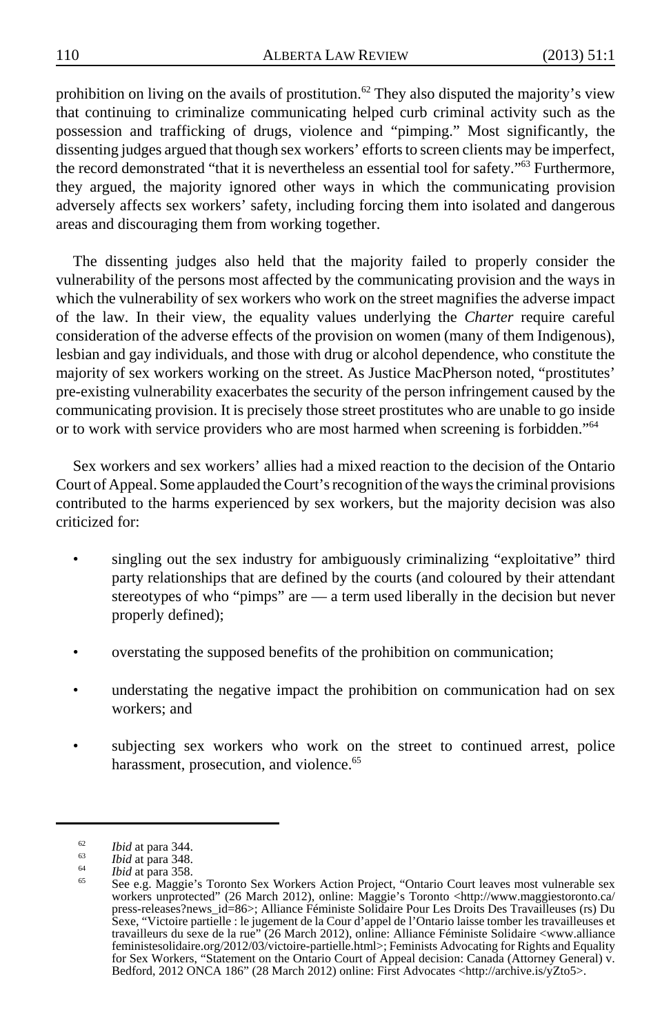prohibition on living on the avails of prostitution.<sup>62</sup> They also disputed the majority's view that continuing to criminalize communicating helped curb criminal activity such as the possession and trafficking of drugs, violence and "pimping." Most significantly, the dissenting judges argued that though sex workers' efforts to screen clients may be imperfect, the record demonstrated "that it is nevertheless an essential tool for safety."<sup>63</sup> Furthermore, they argued, the majority ignored other ways in which the communicating provision adversely affects sex workers' safety, including forcing them into isolated and dangerous areas and discouraging them from working together.

The dissenting judges also held that the majority failed to properly consider the vulnerability of the persons most affected by the communicating provision and the ways in which the vulnerability of sex workers who work on the street magnifies the adverse impact of the law. In their view, the equality values underlying the *Charter* require careful consideration of the adverse effects of the provision on women (many of them Indigenous), lesbian and gay individuals, and those with drug or alcohol dependence, who constitute the majority of sex workers working on the street. As Justice MacPherson noted, "prostitutes' pre-existing vulnerability exacerbates the security of the person infringement caused by the communicating provision. It is precisely those street prostitutes who are unable to go inside or to work with service providers who are most harmed when screening is forbidden."64

Sex workers and sex workers' allies had a mixed reaction to the decision of the Ontario Court of Appeal. Some applauded the Court's recognition of the ways the criminal provisions contributed to the harms experienced by sex workers, but the majority decision was also criticized for:

- singling out the sex industry for ambiguously criminalizing "exploitative" third party relationships that are defined by the courts (and coloured by their attendant stereotypes of who "pimps" are — a term used liberally in the decision but never properly defined);
- overstating the supposed benefits of the prohibition on communication;
- understating the negative impact the prohibition on communication had on sex workers; and
- subjecting sex workers who work on the street to continued arrest, police harassment, prosecution, and violence.<sup>65</sup>

<sup>&</sup>lt;sup>62</sup> Ibid at para 344.<br>
<sup>64</sup> Ibid at para 348.<br>
<sup>64</sup> Ibid at para 358.<br>
<sup>64</sup> See e.g. Maggie's Toronto Sex Workers Action Project, "Ontario Court leaves most vulnerable sex<br>
<sup>65</sup> See e.g. Maggie's Toronto Sex Workers Acti press-releases?news\_id=86>; Alliance Féministe Solidaire Pour Les Droits Des Travailleuses (rs) Du Sexe, "Victoire partielle : le jugement de la Cour d'appel de l'Ontario laisse tomber les travailleuses et travailleurs du sexe de la rue" (26 March 2012), online: Alliance Féministe Solidaire <www.alliance feministesolidaire.org/2012/03/victoire-partielle.html>; Feminists Advocating for Rights and Equality for Sex Workers, "Statement on the Ontario Court of Appeal decision: Canada (Attorney General) v. Bedford, 2012 ONCA 186" (28 March 2012) online: First Advocates <http://archive.is/yZto5>.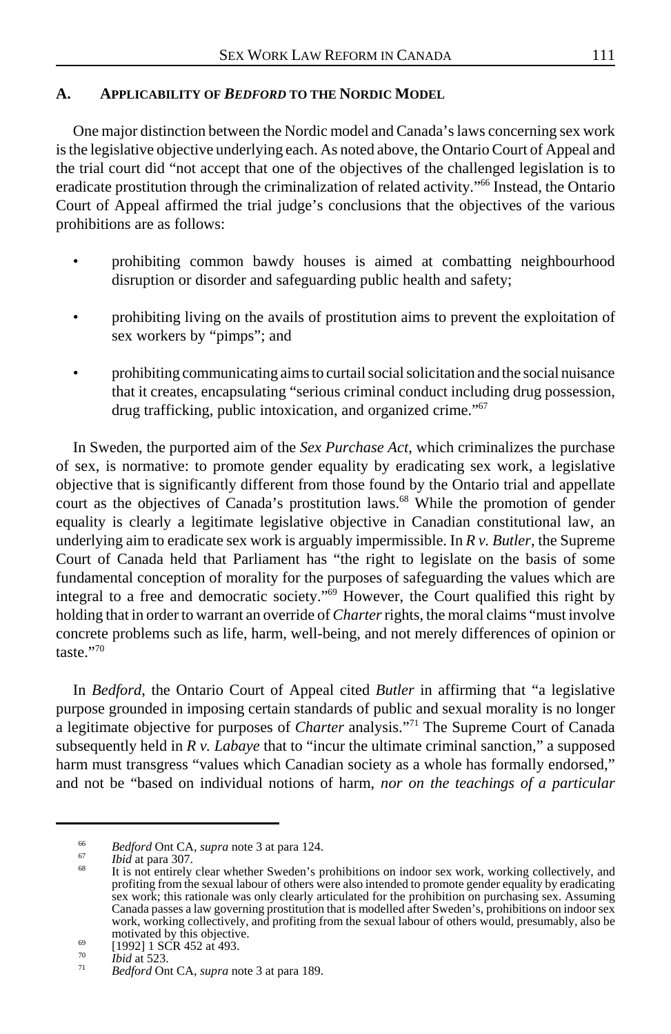# **A. APPLICABILITY OF** *BEDFORD* **TO THE NORDIC MODEL**

One major distinction between the Nordic model and Canada's laws concerning sex work is the legislative objective underlying each. As noted above, the Ontario Court of Appeal and the trial court did "not accept that one of the objectives of the challenged legislation is to eradicate prostitution through the criminalization of related activity."<sup>66</sup> Instead, the Ontario Court of Appeal affirmed the trial judge's conclusions that the objectives of the various prohibitions are as follows:

- prohibiting common bawdy houses is aimed at combatting neighbourhood disruption or disorder and safeguarding public health and safety;
- prohibiting living on the avails of prostitution aims to prevent the exploitation of sex workers by "pimps"; and
- prohibiting communicating aims to curtail social solicitation and the social nuisance that it creates, encapsulating "serious criminal conduct including drug possession, drug trafficking, public intoxication, and organized crime."67

In Sweden, the purported aim of the *Sex Purchase Act*, which criminalizes the purchase of sex, is normative: to promote gender equality by eradicating sex work, a legislative objective that is significantly different from those found by the Ontario trial and appellate court as the objectives of Canada's prostitution laws.<sup>68</sup> While the promotion of gender equality is clearly a legitimate legislative objective in Canadian constitutional law, an underlying aim to eradicate sex work is arguably impermissible. In *R v. Butler*, the Supreme Court of Canada held that Parliament has "the right to legislate on the basis of some fundamental conception of morality for the purposes of safeguarding the values which are integral to a free and democratic society."<sup>69</sup> However, the Court qualified this right by holding that in order to warrant an override of *Charter* rights, the moral claims "must involve concrete problems such as life, harm, well-being, and not merely differences of opinion or taste<sup>"70</sup>

In *Bedford*, the Ontario Court of Appeal cited *Butler* in affirming that "a legislative purpose grounded in imposing certain standards of public and sexual morality is no longer a legitimate objective for purposes of *Charter* analysis."71 The Supreme Court of Canada subsequently held in *R v. Labaye* that to "incur the ultimate criminal sanction," a supposed harm must transgress "values which Canadian society as a whole has formally endorsed," and not be "based on individual notions of harm, *nor on the teachings of a particular*

<sup>&</sup>lt;sup>66</sup> *Bedford* Ont CA, *supra* note 3 at para 124.<br><sup>67</sup> *Ibid* at para 307.<br><sup>68</sup> It is not entirely clear whether Sweden's prohibitions on indoor sex work, working collectively, and profiting from the sexual labour of others were also intended to promote gender equality by eradicating sex work; this rationale was only clearly articulated for the prohibition on purchasing sex. Assuming Canada passes a law governing prostitution that is modelled after Sweden's, prohibitions on indoor sex work, working collectively, and profiting from the sexual labour of others would, presumably, also be

motivated by this objective. <sup>69</sup> [1992] 1 SCR 452 at 493. <sup>70</sup> *Ibid* at 523. <sup>71</sup> *Bedford* Ont CA, *supra* note 3 at para 189.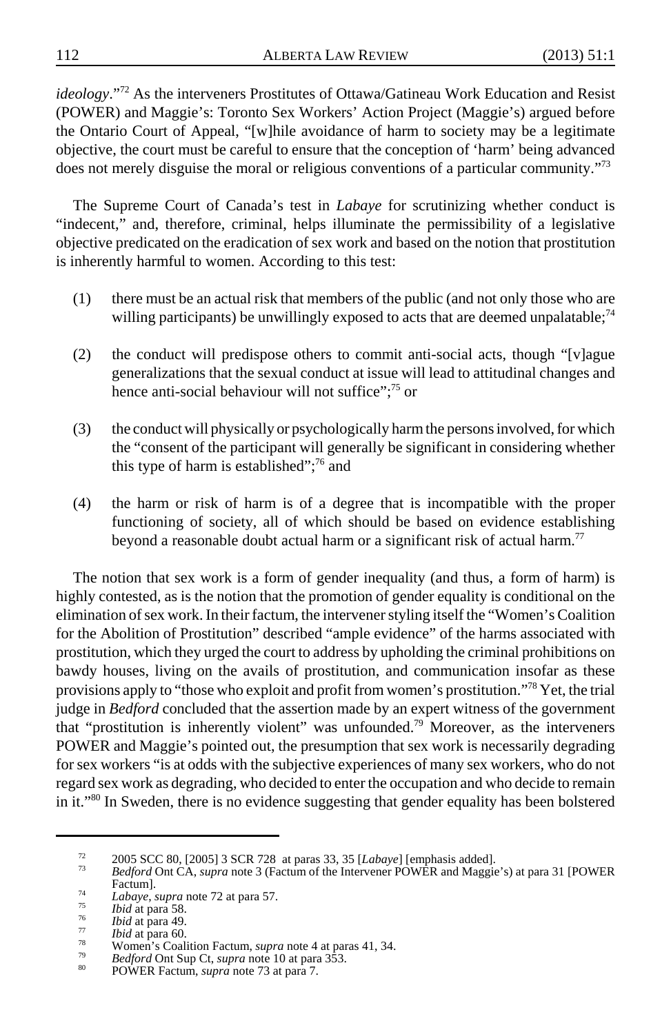*ideology*."72 As the interveners Prostitutes of Ottawa/Gatineau Work Education and Resist (POWER) and Maggie's: Toronto Sex Workers' Action Project (Maggie's) argued before the Ontario Court of Appeal, "[w]hile avoidance of harm to society may be a legitimate objective, the court must be careful to ensure that the conception of 'harm' being advanced does not merely disguise the moral or religious conventions of a particular community."<sup>73</sup>

The Supreme Court of Canada's test in *Labaye* for scrutinizing whether conduct is "indecent," and, therefore, criminal, helps illuminate the permissibility of a legislative objective predicated on the eradication of sex work and based on the notion that prostitution is inherently harmful to women. According to this test:

- (1) there must be an actual risk that members of the public (and not only those who are willing participants) be unwillingly exposed to acts that are deemed unpalatable;<sup>74</sup>
- (2) the conduct will predispose others to commit anti-social acts, though "[v]ague generalizations that the sexual conduct at issue will lead to attitudinal changes and hence anti-social behaviour will not suffice";<sup>75</sup> or
- (3) the conduct will physically or psychologically harm the persons involved, for which the "consent of the participant will generally be significant in considering whether this type of harm is established";<sup>76</sup> and
- (4) the harm or risk of harm is of a degree that is incompatible with the proper functioning of society, all of which should be based on evidence establishing beyond a reasonable doubt actual harm or a significant risk of actual harm.<sup>77</sup>

The notion that sex work is a form of gender inequality (and thus, a form of harm) is highly contested, as is the notion that the promotion of gender equality is conditional on the elimination of sex work. In their factum, the intervener styling itself the "Women's Coalition for the Abolition of Prostitution" described "ample evidence" of the harms associated with prostitution, which they urged the court to address by upholding the criminal prohibitions on bawdy houses, living on the avails of prostitution, and communication insofar as these provisions apply to "those who exploit and profit from women's prostitution."78 Yet, the trial judge in *Bedford* concluded that the assertion made by an expert witness of the government that "prostitution is inherently violent" was unfounded.79 Moreover, as the interveners POWER and Maggie's pointed out, the presumption that sex work is necessarily degrading for sex workers "is at odds with the subjective experiences of many sex workers, who do not regard sex work as degrading, who decided to enter the occupation and who decide to remain in it."80 In Sweden, there is no evidence suggesting that gender equality has been bolstered

<sup>72</sup> 2005 SCC 80, [2005] 3 SCR 728 at paras 33, 35 [*Labaye*] [emphasis added]. <sup>73</sup> *Bedford* Ont CA, *supra* note 3 (Factum of the Intervener POWER and Maggie's) at para 31 [POWER

Factum].<br> *Labaye, supra* note 72 at para 57.<br> *Thid at para 58.*<br> *Bid at para 49.*<br> *Thid at para 49.*<br> *Bid at para 60.*<br>
Women's Coalition Factum, *supra* note 4 at para 41, 34.<br> *Bedford* Ont Sup Ct, *supra* note 10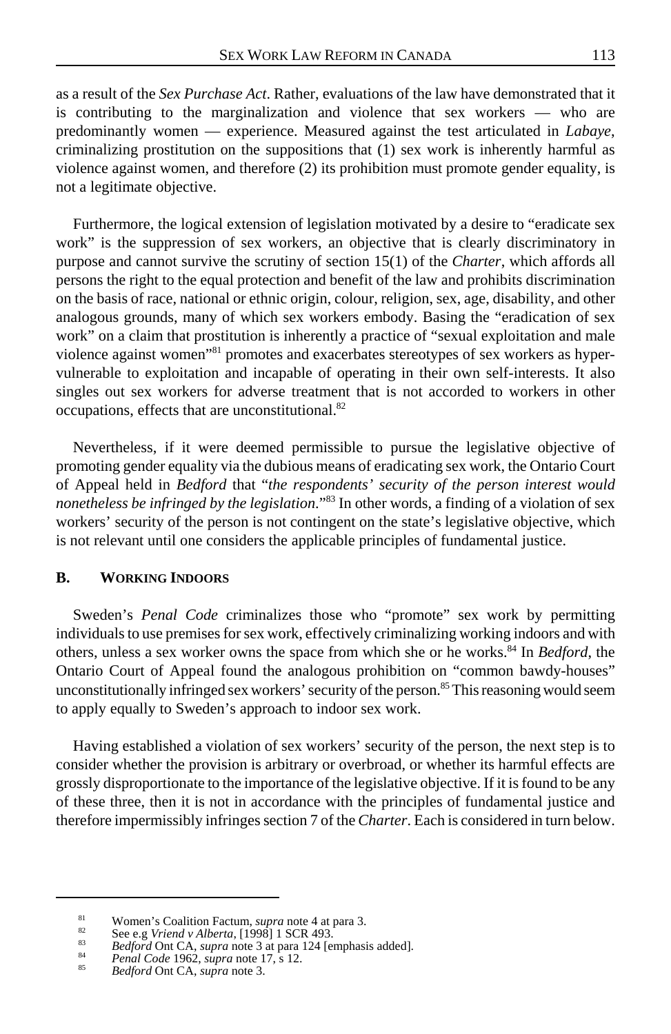as a result of the *Sex Purchase Act*. Rather, evaluations of the law have demonstrated that it is contributing to the marginalization and violence that sex workers — who are predominantly women — experience. Measured against the test articulated in *Labaye*, criminalizing prostitution on the suppositions that (1) sex work is inherently harmful as violence against women, and therefore (2) its prohibition must promote gender equality, is not a legitimate objective.

Furthermore, the logical extension of legislation motivated by a desire to "eradicate sex work" is the suppression of sex workers, an objective that is clearly discriminatory in purpose and cannot survive the scrutiny of section 15(1) of the *Charter*, which affords all persons the right to the equal protection and benefit of the law and prohibits discrimination on the basis of race, national or ethnic origin, colour, religion, sex, age, disability, and other analogous grounds, many of which sex workers embody. Basing the "eradication of sex work" on a claim that prostitution is inherently a practice of "sexual exploitation and male violence against women"81 promotes and exacerbates stereotypes of sex workers as hypervulnerable to exploitation and incapable of operating in their own self-interests. It also singles out sex workers for adverse treatment that is not accorded to workers in other occupations, effects that are unconstitutional.<sup>82</sup>

Nevertheless, if it were deemed permissible to pursue the legislative objective of promoting gender equality via the dubious means of eradicating sex work, the Ontario Court of Appeal held in *Bedford* that "*the respondents' security of the person interest would nonetheless be infringed by the legislation*."83 In other words, a finding of a violation of sex workers' security of the person is not contingent on the state's legislative objective, which is not relevant until one considers the applicable principles of fundamental justice.

### **B. WORKING INDOORS**

Sweden's *Penal Code* criminalizes those who "promote" sex work by permitting individuals to use premises for sex work, effectively criminalizing working indoors and with others, unless a sex worker owns the space from which she or he works.84 In *Bedford*, the Ontario Court of Appeal found the analogous prohibition on "common bawdy-houses" unconstitutionally infringed sex workers' security of the person.<sup>85</sup> This reasoning would seem to apply equally to Sweden's approach to indoor sex work.

Having established a violation of sex workers' security of the person, the next step is to consider whether the provision is arbitrary or overbroad, or whether its harmful effects are grossly disproportionate to the importance of the legislative objective. If it is found to be any of these three, then it is not in accordance with the principles of fundamental justice and therefore impermissibly infringes section 7 of the *Charter*. Each is considered in turn below.

<sup>&</sup>lt;sup>81</sup><br>Women's Coalition Factum, *supra* note 4 at para 3.<br>See e.g *Vriend v Alberta*, [1998] 1 SCR 493.<br>*Bedford* Ont CA, *supra* note 3 at para 124 [emphasis added].<br>*Penal Code* 1962, *supra* note 17, s 12.<br>*Bedford* Ont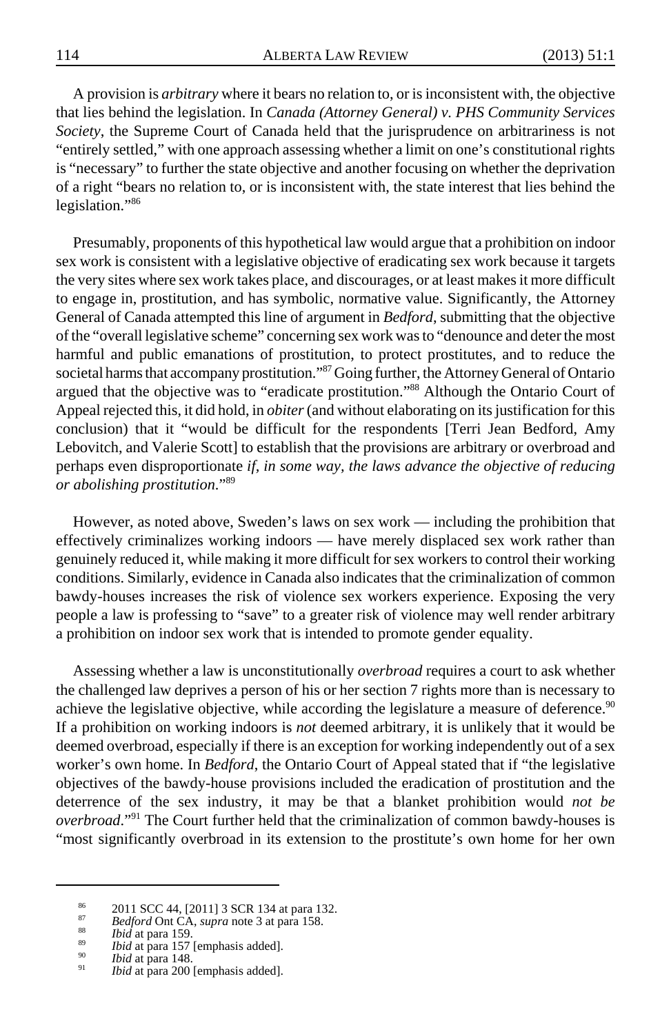A provision is *arbitrary* where it bears no relation to, or is inconsistent with, the objective that lies behind the legislation. In *Canada (Attorney General) v. PHS Community Services Society*, the Supreme Court of Canada held that the jurisprudence on arbitrariness is not "entirely settled," with one approach assessing whether a limit on one's constitutional rights is "necessary" to further the state objective and another focusing on whether the deprivation of a right "bears no relation to, or is inconsistent with, the state interest that lies behind the legislation."86

Presumably, proponents of this hypothetical law would argue that a prohibition on indoor sex work is consistent with a legislative objective of eradicating sex work because it targets the very sites where sex work takes place, and discourages, or at least makes it more difficult to engage in, prostitution, and has symbolic, normative value. Significantly, the Attorney General of Canada attempted this line of argument in *Bedford*, submitting that the objective of the "overall legislative scheme" concerning sex work was to "denounce and deter the most harmful and public emanations of prostitution, to protect prostitutes, and to reduce the societal harms that accompany prostitution."87 Going further, the Attorney General of Ontario argued that the objective was to "eradicate prostitution."88 Although the Ontario Court of Appeal rejected this, it did hold, in *obiter* (and without elaborating on its justification for this conclusion) that it "would be difficult for the respondents [Terri Jean Bedford, Amy Lebovitch, and Valerie Scott] to establish that the provisions are arbitrary or overbroad and perhaps even disproportionate *if, in some way, the laws advance the objective of reducing or abolishing prostitution*."89

However, as noted above, Sweden's laws on sex work — including the prohibition that effectively criminalizes working indoors — have merely displaced sex work rather than genuinely reduced it, while making it more difficult for sex workers to control their working conditions. Similarly, evidence in Canada also indicates that the criminalization of common bawdy-houses increases the risk of violence sex workers experience. Exposing the very people a law is professing to "save" to a greater risk of violence may well render arbitrary a prohibition on indoor sex work that is intended to promote gender equality.

Assessing whether a law is unconstitutionally *overbroad* requires a court to ask whether the challenged law deprives a person of his or her section 7 rights more than is necessary to achieve the legislative objective, while according the legislature a measure of deference.<sup>90</sup> If a prohibition on working indoors is *not* deemed arbitrary, it is unlikely that it would be deemed overbroad, especially if there is an exception for working independently out of a sex worker's own home. In *Bedford*, the Ontario Court of Appeal stated that if "the legislative objectives of the bawdy-house provisions included the eradication of prostitution and the deterrence of the sex industry, it may be that a blanket prohibition would *not be overbroad*."91 The Court further held that the criminalization of common bawdy-houses is "most significantly overbroad in its extension to the prostitute's own home for her own

<sup>&</sup>lt;sup>86</sup> 2011 SCC 44, [2011] 3 SCR 134 at para 132.<br>
<sup>87</sup> *Bedford* Ont CA, *supra* note 3 at para 158.<br> *bid* at para 157 [emphasis added].<br>
<sup>89</sup> *Ibid* at para 148.<br> *bid* at para 148.<br> *bid* at para 200 [emphasis added].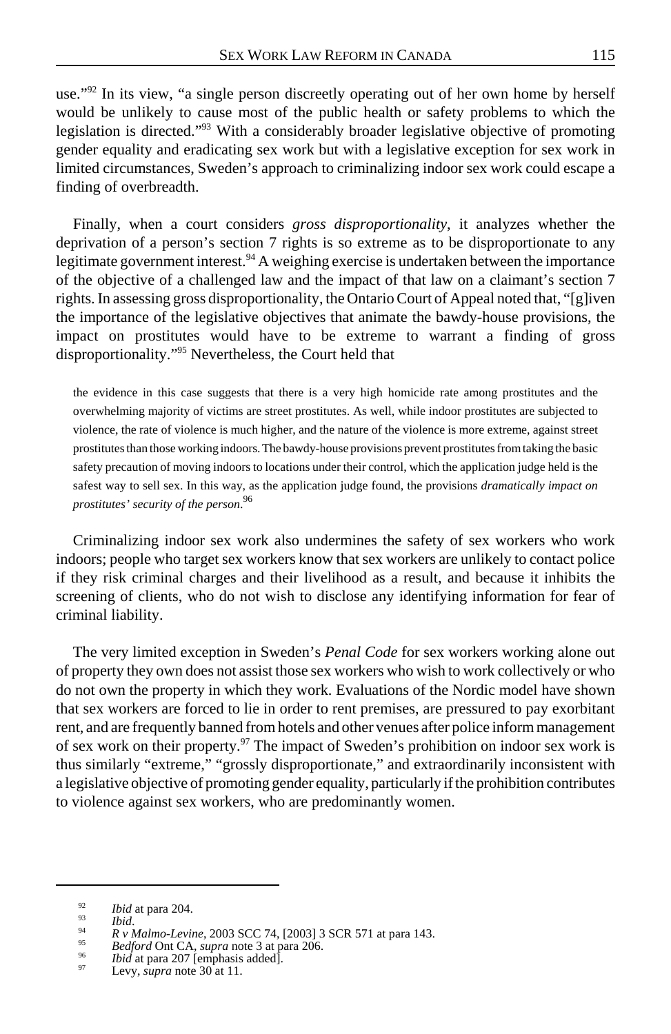use."<sup>92</sup> In its view, "a single person discreetly operating out of her own home by herself would be unlikely to cause most of the public health or safety problems to which the legislation is directed."93 With a considerably broader legislative objective of promoting gender equality and eradicating sex work but with a legislative exception for sex work in limited circumstances, Sweden's approach to criminalizing indoor sex work could escape a finding of overbreadth.

Finally, when a court considers *gross disproportionality*, it analyzes whether the deprivation of a person's section 7 rights is so extreme as to be disproportionate to any legitimate government interest.<sup>94</sup> A weighing exercise is undertaken between the importance of the objective of a challenged law and the impact of that law on a claimant's section 7 rights. In assessing gross disproportionality, the Ontario Court of Appeal noted that, "[g]iven the importance of the legislative objectives that animate the bawdy-house provisions, the impact on prostitutes would have to be extreme to warrant a finding of gross disproportionality."95 Nevertheless, the Court held that

the evidence in this case suggests that there is a very high homicide rate among prostitutes and the overwhelming majority of victims are street prostitutes. As well, while indoor prostitutes are subjected to violence, the rate of violence is much higher, and the nature of the violence is more extreme, against street prostitutes than those working indoors. The bawdy-house provisions prevent prostitutes from taking the basic safety precaution of moving indoors to locations under their control, which the application judge held is the safest way to sell sex. In this way, as the application judge found, the provisions *dramatically impact on prostitutes' security of the person*. 96

Criminalizing indoor sex work also undermines the safety of sex workers who work indoors; people who target sex workers know that sex workers are unlikely to contact police if they risk criminal charges and their livelihood as a result, and because it inhibits the screening of clients, who do not wish to disclose any identifying information for fear of criminal liability.

The very limited exception in Sweden's *Penal Code* for sex workers working alone out of property they own does not assist those sex workers who wish to work collectively or who do not own the property in which they work. Evaluations of the Nordic model have shown that sex workers are forced to lie in order to rent premises, are pressured to pay exorbitant rent, and are frequently banned from hotels and other venues after police inform management of sex work on their property.<sup>97</sup> The impact of Sweden's prohibition on indoor sex work is thus similarly "extreme," "grossly disproportionate," and extraordinarily inconsistent with a legislative objective of promoting gender equality, particularly if the prohibition contributes to violence against sex workers, who are predominantly women.

<sup>&</sup>lt;sup>92</sup> *Ibid* at para 204.<br>
<sup>93</sup> *R v Malmo-Levine*, 2003 SCC 74, [2003] 3 SCR 571 at para 143.<br>
<sup>95</sup> *Bedford* Ont CA, *supra* note 3 at para 206.<br> *bid at para 201* [emphasis added].<br>
<sup>96</sup> *Ibid* at para 207 [emphasis a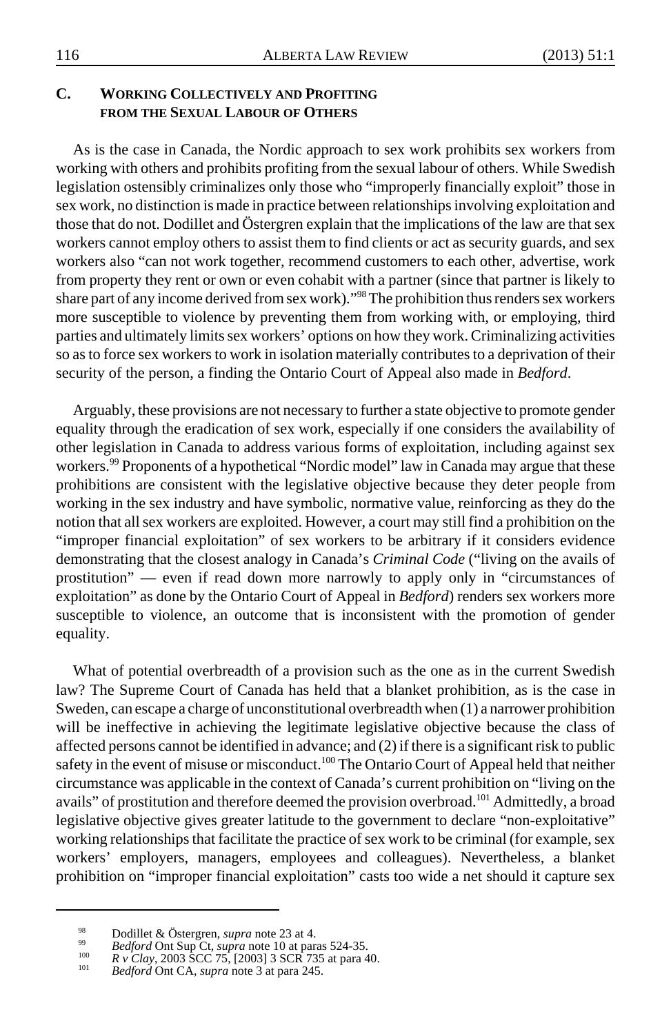# **C. WORKING COLLECTIVELY AND PROFITING FROM THE SEXUAL LABOUR OF OTHERS**

As is the case in Canada, the Nordic approach to sex work prohibits sex workers from working with others and prohibits profiting from the sexual labour of others. While Swedish legislation ostensibly criminalizes only those who "improperly financially exploit" those in sex work, no distinction is made in practice between relationships involving exploitation and those that do not. Dodillet and Östergren explain that the implications of the law are that sex workers cannot employ others to assist them to find clients or act as security guards, and sex workers also "can not work together, recommend customers to each other, advertise, work from property they rent or own or even cohabit with a partner (since that partner is likely to share part of any income derived from sex work)."<sup>98</sup> The prohibition thus renders sex workers more susceptible to violence by preventing them from working with, or employing, third parties and ultimately limits sex workers' options on how they work. Criminalizing activities so as to force sex workers to work in isolation materially contributes to a deprivation of their security of the person, a finding the Ontario Court of Appeal also made in *Bedford*.

Arguably, these provisions are not necessary to further a state objective to promote gender equality through the eradication of sex work, especially if one considers the availability of other legislation in Canada to address various forms of exploitation, including against sex workers.<sup>99</sup> Proponents of a hypothetical "Nordic model" law in Canada may argue that these prohibitions are consistent with the legislative objective because they deter people from working in the sex industry and have symbolic, normative value, reinforcing as they do the notion that all sex workers are exploited. However, a court may still find a prohibition on the "improper financial exploitation" of sex workers to be arbitrary if it considers evidence demonstrating that the closest analogy in Canada's *Criminal Code* ("living on the avails of prostitution" — even if read down more narrowly to apply only in "circumstances of exploitation" as done by the Ontario Court of Appeal in *Bedford*) renders sex workers more susceptible to violence, an outcome that is inconsistent with the promotion of gender equality.

What of potential overbreadth of a provision such as the one as in the current Swedish law? The Supreme Court of Canada has held that a blanket prohibition, as is the case in Sweden, can escape a charge of unconstitutional overbreadth when (1) a narrower prohibition will be ineffective in achieving the legitimate legislative objective because the class of affected persons cannot be identified in advance; and (2) if there is a significant risk to public safety in the event of misuse or misconduct.<sup>100</sup> The Ontario Court of Appeal held that neither circumstance was applicable in the context of Canada's current prohibition on "living on the avails" of prostitution and therefore deemed the provision overbroad.<sup>101</sup> Admittedly, a broad legislative objective gives greater latitude to the government to declare "non-exploitative" working relationships that facilitate the practice of sex work to be criminal (for example, sex workers' employers, managers, employees and colleagues). Nevertheless, a blanket prohibition on "improper financial exploitation" casts too wide a net should it capture sex

<sup>&</sup>lt;sup>98</sup><br>
Bodillet & Östergren, *supra* note 23 at 4.<br> *Bedford* Ont Sup Ct, *supra* note 10 at paras 524-35.<br> *R v* Clay, 2003 SCC 75, [2003] 3 SCR 735 at para 40.<br> *Bedford* Ont CA, *supra* note 3 at para 245.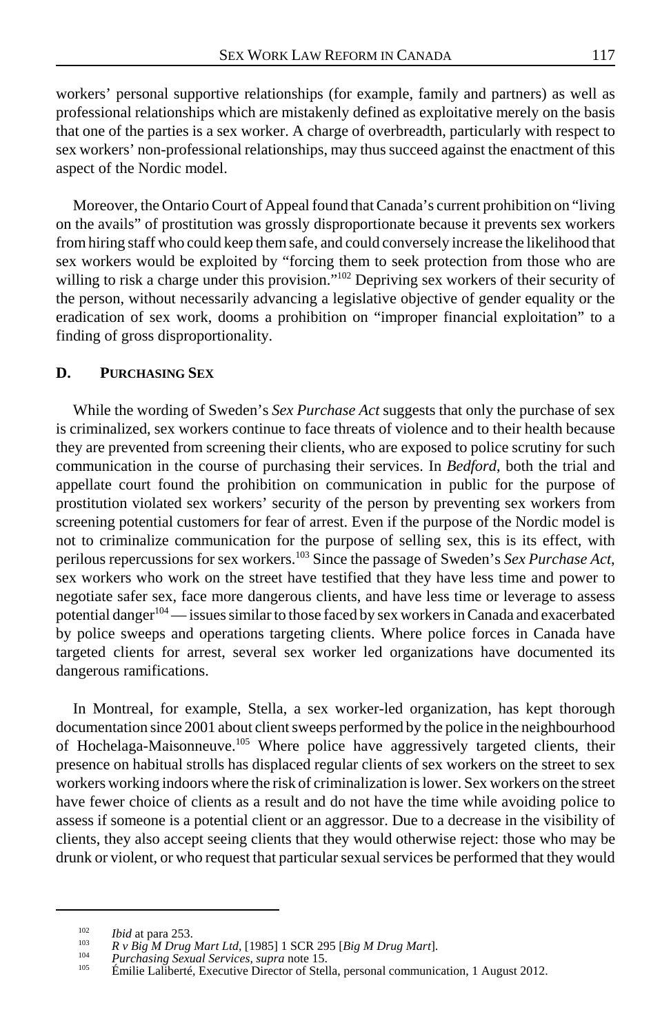workers' personal supportive relationships (for example, family and partners) as well as professional relationships which are mistakenly defined as exploitative merely on the basis that one of the parties is a sex worker. A charge of overbreadth, particularly with respect to sex workers' non-professional relationships, may thus succeed against the enactment of this aspect of the Nordic model.

Moreover, the Ontario Court of Appeal found that Canada's current prohibition on "living on the avails" of prostitution was grossly disproportionate because it prevents sex workers from hiring staff who could keep them safe, and could conversely increase the likelihood that sex workers would be exploited by "forcing them to seek protection from those who are willing to risk a charge under this provision."<sup>102</sup> Depriving sex workers of their security of the person, without necessarily advancing a legislative objective of gender equality or the eradication of sex work, dooms a prohibition on "improper financial exploitation" to a finding of gross disproportionality.

## **D. PURCHASING SEX**

While the wording of Sweden's *Sex Purchase Act* suggests that only the purchase of sex is criminalized, sex workers continue to face threats of violence and to their health because they are prevented from screening their clients, who are exposed to police scrutiny for such communication in the course of purchasing their services. In *Bedford*, both the trial and appellate court found the prohibition on communication in public for the purpose of prostitution violated sex workers' security of the person by preventing sex workers from screening potential customers for fear of arrest. Even if the purpose of the Nordic model is not to criminalize communication for the purpose of selling sex, this is its effect, with perilous repercussions for sex workers.103 Since the passage of Sweden's *Sex Purchase Act*, sex workers who work on the street have testified that they have less time and power to negotiate safer sex, face more dangerous clients, and have less time or leverage to assess potential danger<sup>104</sup> — issues similar to those faced by sex workers in Canada and exacerbated by police sweeps and operations targeting clients. Where police forces in Canada have targeted clients for arrest, several sex worker led organizations have documented its dangerous ramifications.

In Montreal, for example, Stella, a sex worker-led organization, has kept thorough documentation since 2001 about client sweeps performed by the police in the neighbourhood of Hochelaga-Maisonneuve.105 Where police have aggressively targeted clients, their presence on habitual strolls has displaced regular clients of sex workers on the street to sex workers working indoors where the risk of criminalization is lower. Sex workers on the street have fewer choice of clients as a result and do not have the time while avoiding police to assess if someone is a potential client or an aggressor. Due to a decrease in the visibility of clients, they also accept seeing clients that they would otherwise reject: those who may be drunk or violent, or who request that particular sexual services be performed that they would

<sup>&</sup>lt;sup>102</sup> *Ibid* at para 253.<br> *R v Big M Drug Mart Ltd*, [1985] 1 SCR 295 [*Big M Drug Mart*].<br>
<sup>104</sup> *Purchasing Sexual Services, supra* note 15.<br>
<sup>105</sup> Émilie Laliberté, Executive Director of Stella, personal communication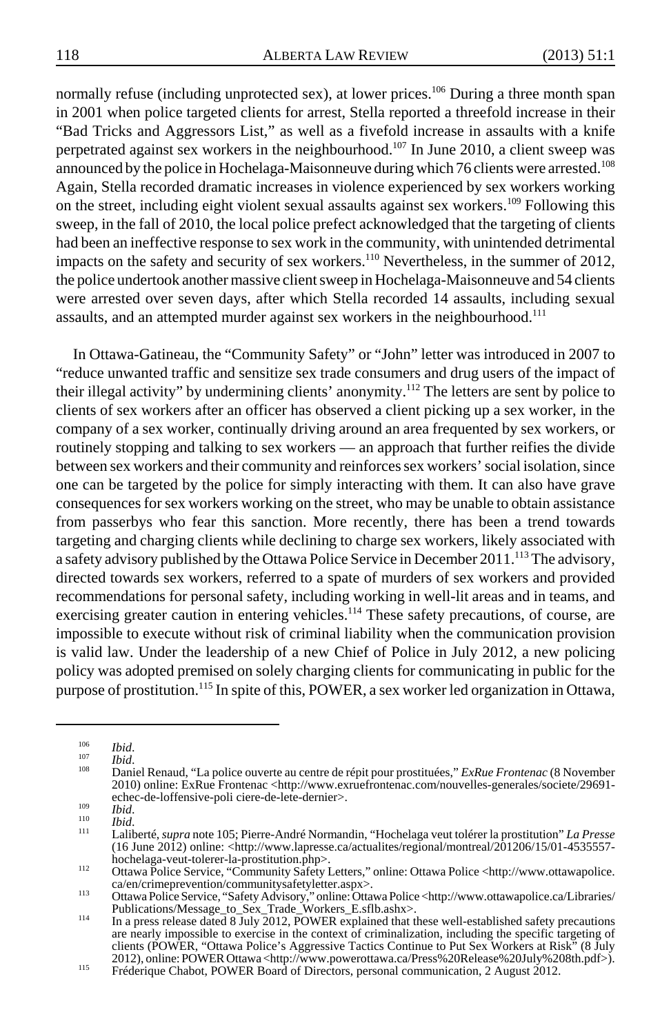normally refuse (including unprotected sex), at lower prices.<sup>106</sup> During a three month span in 2001 when police targeted clients for arrest, Stella reported a threefold increase in their "Bad Tricks and Aggressors List," as well as a fivefold increase in assaults with a knife perpetrated against sex workers in the neighbourhood.107 In June 2010, a client sweep was announced by the police in Hochelaga-Maisonneuve during which 76 clients were arrested.<sup>108</sup> Again, Stella recorded dramatic increases in violence experienced by sex workers working on the street, including eight violent sexual assaults against sex workers.109 Following this sweep, in the fall of 2010, the local police prefect acknowledged that the targeting of clients had been an ineffective response to sex work in the community, with unintended detrimental impacts on the safety and security of sex workers.<sup>110</sup> Nevertheless, in the summer of 2012, the police undertook another massive client sweep in Hochelaga-Maisonneuve and 54 clients were arrested over seven days, after which Stella recorded 14 assaults, including sexual assaults, and an attempted murder against sex workers in the neighbourhood.<sup>111</sup>

In Ottawa-Gatineau, the "Community Safety" or "John" letter was introduced in 2007 to "reduce unwanted traffic and sensitize sex trade consumers and drug users of the impact of their illegal activity" by undermining clients' anonymity.<sup>112</sup> The letters are sent by police to clients of sex workers after an officer has observed a client picking up a sex worker, in the company of a sex worker, continually driving around an area frequented by sex workers, or routinely stopping and talking to sex workers — an approach that further reifies the divide between sex workers and their community and reinforces sex workers' social isolation, since one can be targeted by the police for simply interacting with them. It can also have grave consequences for sex workers working on the street, who may be unable to obtain assistance from passerbys who fear this sanction. More recently, there has been a trend towards targeting and charging clients while declining to charge sex workers, likely associated with a safety advisory published by the Ottawa Police Service in December 2011.<sup>113</sup> The advisory, directed towards sex workers, referred to a spate of murders of sex workers and provided recommendations for personal safety, including working in well-lit areas and in teams, and exercising greater caution in entering vehicles.<sup>114</sup> These safety precautions, of course, are impossible to execute without risk of criminal liability when the communication provision is valid law. Under the leadership of a new Chief of Police in July 2012, a new policing policy was adopted premised on solely charging clients for communicating in public for the purpose of prostitution.115 In spite of this, POWER, a sex worker led organization in Ottawa,

<sup>106</sup> *Ibid*. <sup>107</sup> *Ibid*. <sup>108</sup> Daniel Renaud, "La police ouverte au centre de répit pour prostituées," *ExRue Frontenac* (8 November 2010) online: ExRue Frontenac <http://www.exruefrontenac.com/nouvelles-generales/societe/29691-echec-de-loffensive-poli ciere-de-lete-dernier>.

echec-de-loffensive-poli ciere-de-lete-dernier>. 109 *Ibid*. <sup>110</sup> *Ibid*. <sup>111</sup> Laliberté, *supra* note 105; Pierre-André Normandin, "Hochelaga veut tolérer la prostitution" *La Presse* (16 June 2012) online: <http://www.lapresse.ca/actualites/regional/montreal/201206/15/01-4535557-<br>hochelaga-veut-tolerer-la-prostitution.php>.

http://www.ottawa-police Service, "Community Safety Letters," online: Ottawa Police <http://www.ottawapolice.<br>ca/en/crimeprevention/communitysafetyletter.aspx>. ca/en/crimeprevention/communitysafetyletter.aspx>.<br>
113 Ottawa Police Service, "Safety Advisory," online: Ottawa Police <http://www.ottawapolice.ca/Libraries/

Publications/Message\_to\_Sex\_Trade\_Workers\_E.sflb.ashx>.<br><sup>114</sup> In a press release dated 8 July 2012, POWER explained that these well-established safety precautions are nearly impossible to exercise in the context of criminalization, including the specific targeting of clients (POWER, "Ottawa Police's Aggressive Tactics Continue to Put Sex Workers at Risk" (8 July 2012), online: POWER Ottawa <http://www.powerottawa.ca/Press%20Release%20July%208th.pdf>).<br>
Fréderique Chabot, POWER Board of Directors, personal communication, 2 August 2012.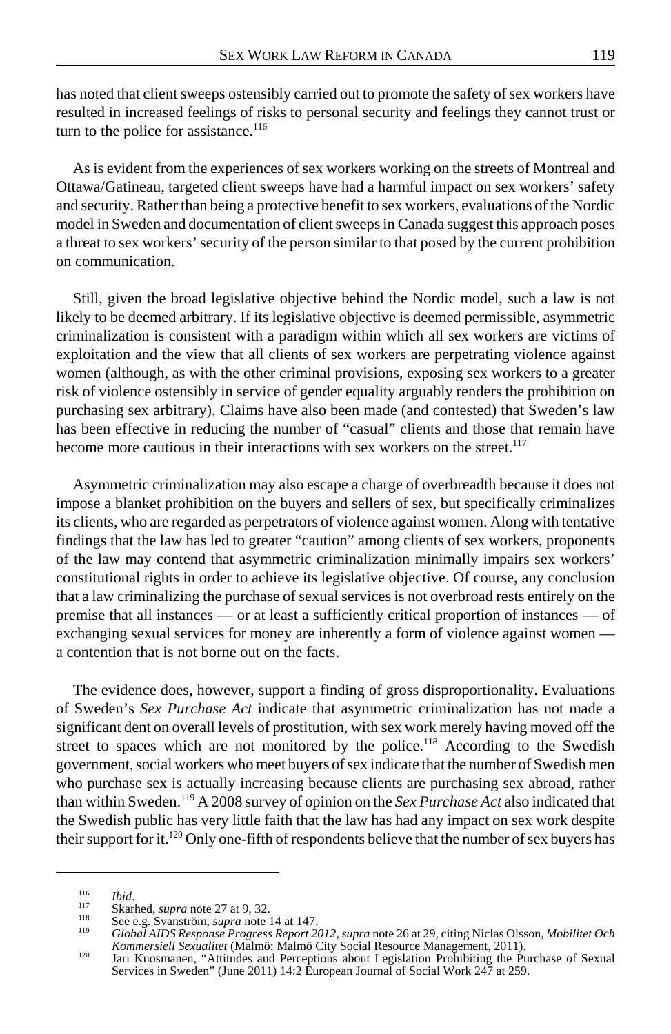has noted that client sweeps ostensibly carried out to promote the safety of sex workers have resulted in increased feelings of risks to personal security and feelings they cannot trust or turn to the police for assistance.<sup>116</sup>

As is evident from the experiences of sex workers working on the streets of Montreal and Ottawa/Gatineau, targeted client sweeps have had a harmful impact on sex workers' safety and security. Rather than being a protective benefit to sex workers, evaluations of the Nordic model in Sweden and documentation of client sweeps in Canada suggest this approach poses a threat to sex workers' security of the person similar to that posed by the current prohibition on communication.

Still, given the broad legislative objective behind the Nordic model, such a law is not likely to be deemed arbitrary. If its legislative objective is deemed permissible, asymmetric criminalization is consistent with a paradigm within which all sex workers are victims of exploitation and the view that all clients of sex workers are perpetrating violence against women (although, as with the other criminal provisions, exposing sex workers to a greater risk of violence ostensibly in service of gender equality arguably renders the prohibition on purchasing sex arbitrary). Claims have also been made (and contested) that Sweden's law has been effective in reducing the number of "casual" clients and those that remain have become more cautious in their interactions with sex workers on the street.<sup>117</sup>

Asymmetric criminalization may also escape a charge of overbreadth because it does not impose a blanket prohibition on the buyers and sellers of sex, but specifically criminalizes its clients, who are regarded as perpetrators of violence against women. Along with tentative findings that the law has led to greater "caution" among clients of sex workers, proponents of the law may contend that asymmetric criminalization minimally impairs sex workers' constitutional rights in order to achieve its legislative objective. Of course, any conclusion that a law criminalizing the purchase of sexual services is not overbroad rests entirely on the premise that all instances — or at least a sufficiently critical proportion of instances — of exchanging sexual services for money are inherently a form of violence against women a contention that is not borne out on the facts.

The evidence does, however, support a finding of gross disproportionality. Evaluations of Sweden's *Sex Purchase Act* indicate that asymmetric criminalization has not made a significant dent on overall levels of prostitution, with sex work merely having moved off the street to spaces which are not monitored by the police.<sup>118</sup> According to the Swedish government, social workers who meet buyers of sex indicate that the number of Swedish men who purchase sex is actually increasing because clients are purchasing sex abroad, rather than within Sweden.119 A 2008 survey of opinion on the *Sex Purchase Act* also indicated that the Swedish public has very little faith that the law has had any impact on sex work despite their support for it.<sup>120</sup> Only one-fifth of respondents believe that the number of sex buyers has

<sup>&</sup>lt;sup>116</sup> Ibid.<br>
Skarhed, *supra* note 27 at 9, 32.<br>
<sup>113</sup> See e.g. Svanström, *supra* note 14 at 147.<br>
<sup>119</sup> Global AIDS Response Progress Report 2012, supra note 26 at 29, citing Niclas Olsson, Mobilitet Och<br> *Kommersiell Se* 

Kommersiell Sexualitet (Malmö: Malmö City Social Resource Management, 2011).<br>Jari Kuosmanen, "Attitudes and Perceptions about Legislation Prohibiting the Purchase of Sexual<br>Services in Sweden" (June 2011) 14:2 European Jou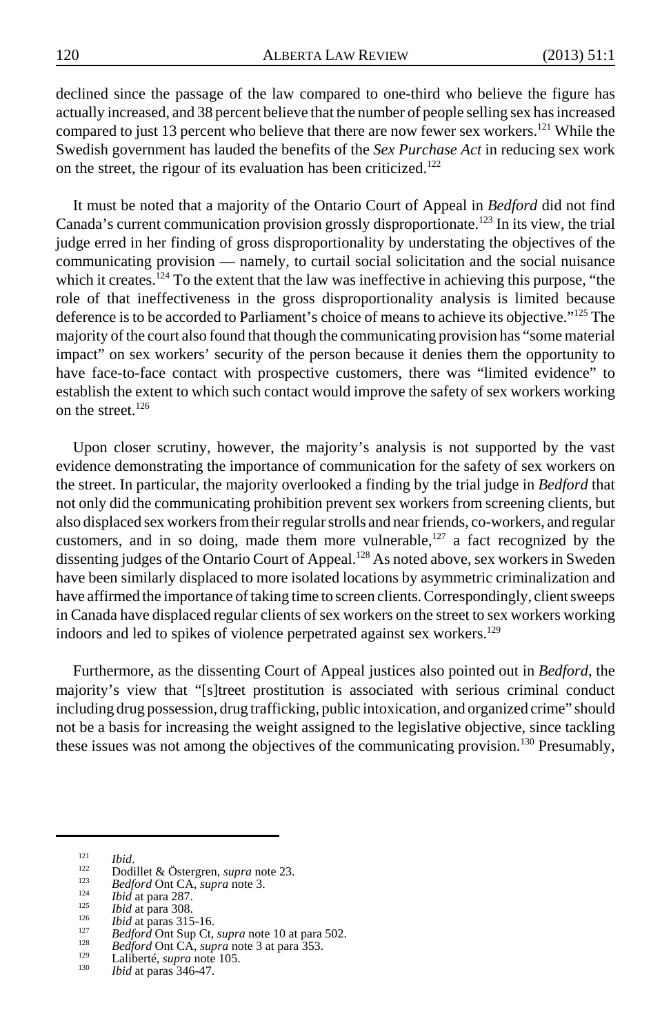declined since the passage of the law compared to one-third who believe the figure has actually increased, and 38 percent believe that the number of people selling sex has increased compared to just 13 percent who believe that there are now fewer sex workers.<sup>121</sup> While the Swedish government has lauded the benefits of the *Sex Purchase Act* in reducing sex work on the street, the rigour of its evaluation has been criticized.<sup>122</sup>

It must be noted that a majority of the Ontario Court of Appeal in *Bedford* did not find Canada's current communication provision grossly disproportionate.<sup>123</sup> In its view, the trial judge erred in her finding of gross disproportionality by understating the objectives of the communicating provision — namely, to curtail social solicitation and the social nuisance which it creates.<sup>124</sup> To the extent that the law was ineffective in achieving this purpose, "the role of that ineffectiveness in the gross disproportionality analysis is limited because deference is to be accorded to Parliament's choice of means to achieve its objective."<sup>125</sup> The majority of the court also found that though the communicating provision has "some material impact" on sex workers' security of the person because it denies them the opportunity to have face-to-face contact with prospective customers, there was "limited evidence" to establish the extent to which such contact would improve the safety of sex workers working on the street. $126$ 

Upon closer scrutiny, however, the majority's analysis is not supported by the vast evidence demonstrating the importance of communication for the safety of sex workers on the street. In particular, the majority overlooked a finding by the trial judge in *Bedford* that not only did the communicating prohibition prevent sex workers from screening clients, but also displaced sex workers from their regular strolls and near friends, co-workers, and regular customers, and in so doing, made them more vulnerable,<sup>127</sup> a fact recognized by the dissenting judges of the Ontario Court of Appeal.<sup>128</sup> As noted above, sex workers in Sweden have been similarly displaced to more isolated locations by asymmetric criminalization and have affirmed the importance of taking time to screen clients. Correspondingly, client sweeps in Canada have displaced regular clients of sex workers on the street to sex workers working indoors and led to spikes of violence perpetrated against sex workers.<sup>129</sup>

Furthermore, as the dissenting Court of Appeal justices also pointed out in *Bedford*, the majority's view that "[s]treet prostitution is associated with serious criminal conduct including drug possession, drug trafficking, public intoxication, and organized crime" should not be a basis for increasing the weight assigned to the legislative objective, since tackling these issues was not among the objectives of the communicating provision.<sup>130</sup> Presumably,

<sup>&</sup>lt;sup>121</sup><br>
<sup>122</sup><br>
23 **Bedford Ont CA**, *supra* note 23.<br> *Bedford Ont CA*, *supra* note 3.<br> *124*<br> *Ibid* at para 287.<br> *Ibid* at para 308.<br> *Ibid* at para 315-16.<br> *Bedford Ont Sup Ct*, *supra* note 10 at para 502.<br> *Bedford*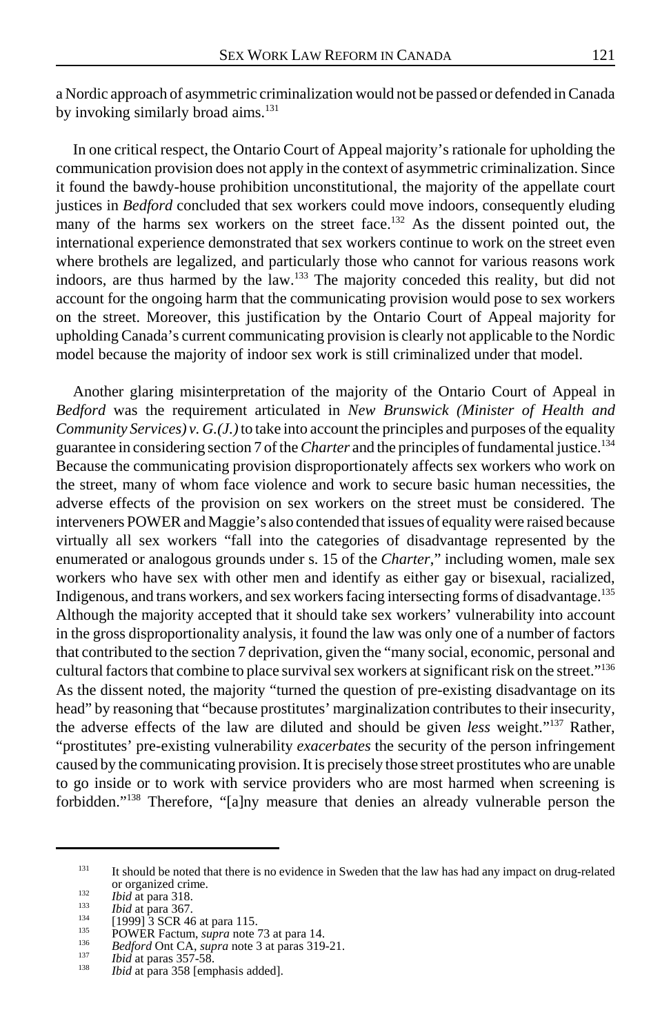a Nordic approach of asymmetric criminalization would not be passed or defended in Canada by invoking similarly broad aims.<sup>131</sup>

In one critical respect, the Ontario Court of Appeal majority's rationale for upholding the communication provision does not apply in the context of asymmetric criminalization. Since it found the bawdy-house prohibition unconstitutional, the majority of the appellate court justices in *Bedford* concluded that sex workers could move indoors, consequently eluding many of the harms sex workers on the street face.<sup>132</sup> As the dissent pointed out, the international experience demonstrated that sex workers continue to work on the street even where brothels are legalized, and particularly those who cannot for various reasons work indoors, are thus harmed by the law.133 The majority conceded this reality, but did not account for the ongoing harm that the communicating provision would pose to sex workers on the street. Moreover, this justification by the Ontario Court of Appeal majority for upholding Canada's current communicating provision is clearly not applicable to the Nordic model because the majority of indoor sex work is still criminalized under that model.

Another glaring misinterpretation of the majority of the Ontario Court of Appeal in *Bedford* was the requirement articulated in *New Brunswick (Minister of Health and Community Services) v. G.(J.)* to take into account the principles and purposes of the equality guarantee in considering section 7 of the *Charter* and the principles of fundamental justice.<sup>134</sup> Because the communicating provision disproportionately affects sex workers who work on the street, many of whom face violence and work to secure basic human necessities, the adverse effects of the provision on sex workers on the street must be considered. The interveners POWER and Maggie's also contended that issues of equality were raised because virtually all sex workers "fall into the categories of disadvantage represented by the enumerated or analogous grounds under s. 15 of the *Charter*," including women, male sex workers who have sex with other men and identify as either gay or bisexual, racialized, Indigenous, and trans workers, and sex workers facing intersecting forms of disadvantage.<sup>135</sup> Although the majority accepted that it should take sex workers' vulnerability into account in the gross disproportionality analysis, it found the law was only one of a number of factors that contributed to the section 7 deprivation, given the "many social, economic, personal and cultural factors that combine to place survival sex workers at significant risk on the street."<sup>136</sup> As the dissent noted, the majority "turned the question of pre-existing disadvantage on its head" by reasoning that "because prostitutes' marginalization contributes to their insecurity, the adverse effects of the law are diluted and should be given *less* weight."137 Rather, "prostitutes' pre-existing vulnerability *exacerbates* the security of the person infringement caused by the communicating provision. It is precisely those street prostitutes who are unable to go inside or to work with service providers who are most harmed when screening is forbidden."138 Therefore, "[a]ny measure that denies an already vulnerable person the

<sup>&</sup>lt;sup>131</sup> It should be noted that there is no evidence in Sweden that the law has had any impact on drug-related or organized crime.<br> *Bid* at para 318.<br> *Bid* at para 367.<br>
[1999] 3 SCR 46 at para 115.<br> **POWER Factum,** *supra* note 73 at para 14.<br> *Bedford* Ont CA, *supra* note 3 at para 319-21.<br> *Bid* at para 357-58.<br> *Bid* at par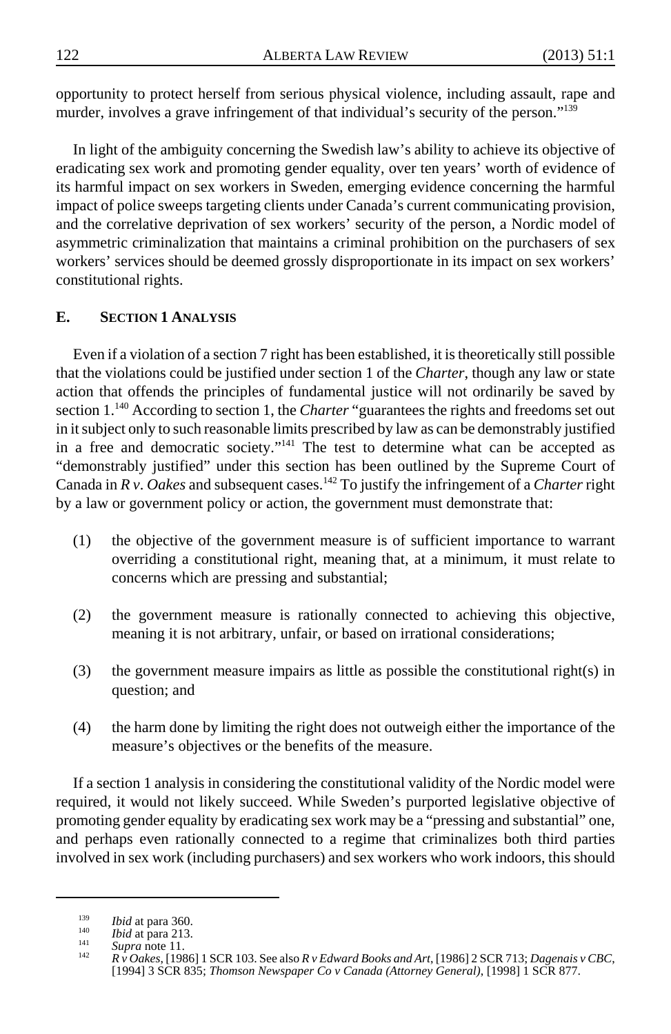opportunity to protect herself from serious physical violence, including assault, rape and murder, involves a grave infringement of that individual's security of the person."<sup>139</sup>

In light of the ambiguity concerning the Swedish law's ability to achieve its objective of eradicating sex work and promoting gender equality, over ten years' worth of evidence of its harmful impact on sex workers in Sweden, emerging evidence concerning the harmful impact of police sweeps targeting clients under Canada's current communicating provision, and the correlative deprivation of sex workers' security of the person, a Nordic model of asymmetric criminalization that maintains a criminal prohibition on the purchasers of sex workers' services should be deemed grossly disproportionate in its impact on sex workers' constitutional rights.

# **E. SECTION 1 ANALYSIS**

Even if a violation of a section 7 right has been established, it is theoretically still possible that the violations could be justified under section 1 of the *Charter*, though any law or state action that offends the principles of fundamental justice will not ordinarily be saved by section 1.<sup>140</sup> According to section 1, the *Charter* "guarantees the rights and freedoms set out in it subject only to such reasonable limits prescribed by law as can be demonstrably justified in a free and democratic society."141 The test to determine what can be accepted as "demonstrably justified" under this section has been outlined by the Supreme Court of Canada in *R v*. *Oakes* and subsequent cases.142 To justify the infringement of a *Charter* right by a law or government policy or action, the government must demonstrate that:

- (1) the objective of the government measure is of sufficient importance to warrant overriding a constitutional right, meaning that, at a minimum, it must relate to concerns which are pressing and substantial;
- (2) the government measure is rationally connected to achieving this objective, meaning it is not arbitrary, unfair, or based on irrational considerations;
- (3) the government measure impairs as little as possible the constitutional right(s) in question; and
- (4) the harm done by limiting the right does not outweigh either the importance of the measure's objectives or the benefits of the measure.

If a section 1 analysis in considering the constitutional validity of the Nordic model were required, it would not likely succeed. While Sweden's purported legislative objective of promoting gender equality by eradicating sex work may be a "pressing and substantial" one, and perhaps even rationally connected to a regime that criminalizes both third parties involved in sex work (including purchasers) and sex workers who work indoors, this should

<sup>&</sup>lt;sup>139</sup> *Ibid* at para 360.<br>
<sup>140</sup> *Ibid* at para 213.<br>
<sup>141</sup> *Supra* note 11.<br> *R* v Oakes, [1986] 1 SCR 103. See also R v Edward Books and Art, [1986] 2 SCR 713; Dagenais v CBC, [1994] 3 SCR 835; *Thomson Newspaper Co v Canada (Attorney General)*, [1998] 1 SCR 877.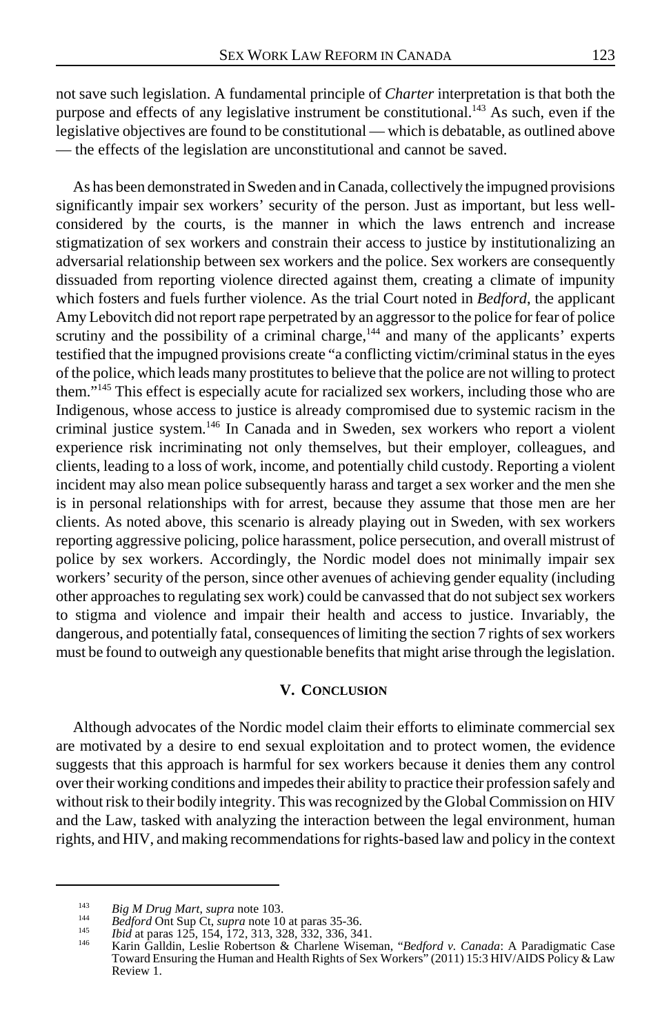not save such legislation. A fundamental principle of *Charter* interpretation is that both the purpose and effects of any legislative instrument be constitutional.<sup>143</sup> As such, even if the legislative objectives are found to be constitutional — which is debatable, as outlined above — the effects of the legislation are unconstitutional and cannot be saved.

As has been demonstrated in Sweden and in Canada, collectively the impugned provisions significantly impair sex workers' security of the person. Just as important, but less wellconsidered by the courts, is the manner in which the laws entrench and increase stigmatization of sex workers and constrain their access to justice by institutionalizing an adversarial relationship between sex workers and the police. Sex workers are consequently dissuaded from reporting violence directed against them, creating a climate of impunity which fosters and fuels further violence. As the trial Court noted in *Bedford*, the applicant Amy Lebovitch did not report rape perpetrated by an aggressor to the police for fear of police scrutiny and the possibility of a criminal charge,<sup>144</sup> and many of the applicants' experts testified that the impugned provisions create "a conflicting victim/criminal status in the eyes of the police, which leads many prostitutes to believe that the police are not willing to protect them."145 This effect is especially acute for racialized sex workers, including those who are Indigenous, whose access to justice is already compromised due to systemic racism in the criminal justice system.<sup>146</sup> In Canada and in Sweden, sex workers who report a violent experience risk incriminating not only themselves, but their employer, colleagues, and clients, leading to a loss of work, income, and potentially child custody. Reporting a violent incident may also mean police subsequently harass and target a sex worker and the men she is in personal relationships with for arrest, because they assume that those men are her clients. As noted above, this scenario is already playing out in Sweden, with sex workers reporting aggressive policing, police harassment, police persecution, and overall mistrust of police by sex workers. Accordingly, the Nordic model does not minimally impair sex workers' security of the person, since other avenues of achieving gender equality (including other approaches to regulating sex work) could be canvassed that do not subject sex workers to stigma and violence and impair their health and access to justice. Invariably, the dangerous, and potentially fatal, consequences of limiting the section 7 rights of sex workers must be found to outweigh any questionable benefits that might arise through the legislation.

#### **V. CONCLUSION**

Although advocates of the Nordic model claim their efforts to eliminate commercial sex are motivated by a desire to end sexual exploitation and to protect women, the evidence suggests that this approach is harmful for sex workers because it denies them any control over their working conditions and impedes their ability to practice their profession safely and without risk to their bodily integrity. This was recognized by the Global Commission on HIV and the Law, tasked with analyzing the interaction between the legal environment, human rights, and HIV, and making recommendations for rights-based law and policy in the context

<sup>&</sup>lt;sup>143</sup> Big M Drug Mart, supra note 103.<br>
<sup>144</sup> Bedford Ont Sup Ct, supra note 10 at paras 35-36.<br>
<sup>145</sup> Ibid at paras 125, 154, 172, 313, 328, 332, 336, 341.<br>
<sup>146</sup> Karin Galldin, Leslie Robertson & Charlene Wiseman, "Bedfo Toward Ensuring the Human and Health Rights of Sex Workers" (2011) 15:3 HIV/AIDS Policy & Law Review 1.